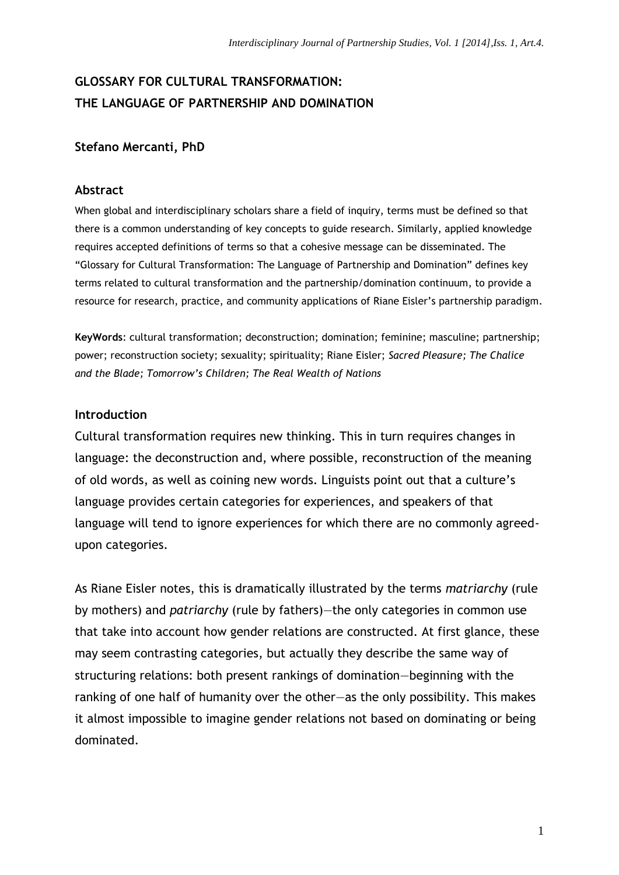## **GLOSSARY FOR CULTURAL TRANSFORMATION: THE LANGUAGE OF PARTNERSHIP AND DOMINATION**

## **Stefano Mercanti, PhD**

## **Abstract**

When global and interdisciplinary scholars share a field of inquiry, terms must be defined so that there is a common understanding of key concepts to guide research. Similarly, applied knowledge requires accepted definitions of terms so that a cohesive message can be disseminated. The "Glossary for Cultural Transformation: The Language of Partnership and Domination" defines key terms related to cultural transformation and the partnership/domination continuum, to provide a resource for research, practice, and community applications of Riane Eisler's partnership paradigm.

**KeyWords**: cultural transformation; deconstruction; domination; feminine; masculine; partnership; power; reconstruction society; sexuality; spirituality; Riane Eisler; *Sacred Pleasure; The Chalice and the Blade; Tomorrow's Children; The Real Wealth of Nations*

## **Introduction**

Cultural transformation requires new thinking. This in turn requires changes in language: the deconstruction and, where possible, reconstruction of the meaning of old words, as well as coining new words. Linguists point out that a culture's language provides certain categories for experiences, and speakers of that language will tend to ignore experiences for which there are no commonly agreedupon categories.

As Riane Eisler notes, this is dramatically illustrated by the terms *matriarchy* (rule by mothers) and *patriarchy* (rule by fathers)—the only categories in common use that take into account how gender relations are constructed. At first glance, these may seem contrasting categories, but actually they describe the same way of structuring relations: both present rankings of domination—beginning with the ranking of one half of humanity over the other—as the only possibility. This makes it almost impossible to imagine gender relations not based on dominating or being dominated.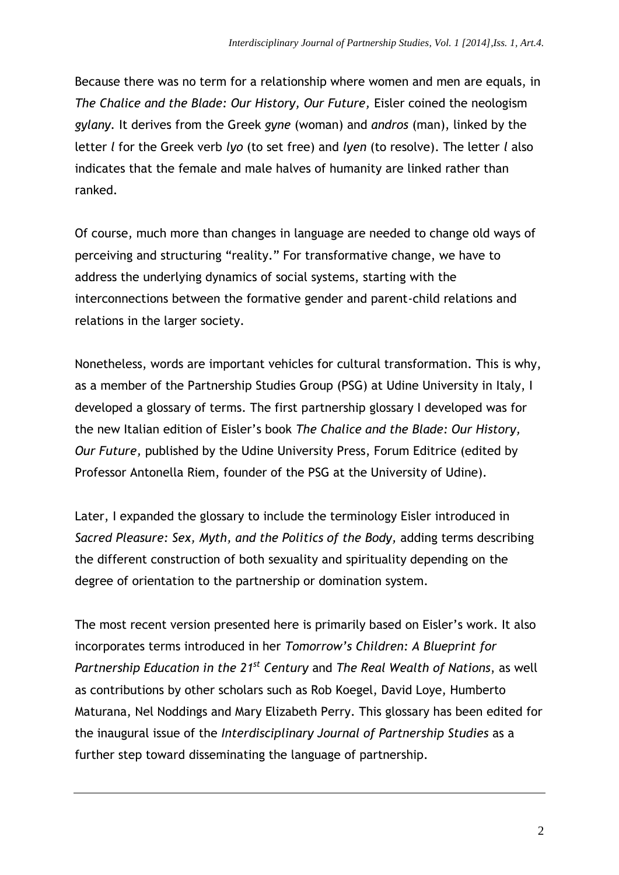Because there was no term for a relationship where women and men are equals, in *The Chalice and the Blade: Our History, Our Future,* Eisler coined the neologism *gylany.* It derives from the Greek *gyne* (woman) and *andros* (man), linked by the letter *l* for the Greek verb *lyo* (to set free) and *lyen* (to resolve). The letter *l* also indicates that the female and male halves of humanity are linked rather than ranked.

Of course, much more than changes in language are needed to change old ways of perceiving and structuring "reality." For transformative change, we have to address the underlying dynamics of social systems, starting with the interconnections between the formative gender and parent-child relations and relations in the larger society.

Nonetheless, words are important vehicles for cultural transformation. This is why, as a member of the Partnership Studies Group (PSG) at Udine University in Italy, I developed a glossary of terms. The first partnership glossary I developed was for the new Italian edition of Eisler's book *The Chalice and the Blade: Our History, Our Future,* published by the Udine University Press, Forum Editrice (edited by Professor Antonella Riem, founder of the PSG at the University of Udine).

Later, I expanded the glossary to include the terminology Eisler introduced in *Sacred Pleasure: Sex, Myth, and the Politics of the Body,* adding terms describing the different construction of both sexuality and spirituality depending on the degree of orientation to the partnership or domination system.

The most recent version presented here is primarily based on Eisler's work. It also incorporates terms introduced in her *Tomorrow's Children: A Blueprint for Partnership Education in the 21 st Century* and *The Real Wealth of Nations*, as well as contributions by other scholars such as Rob Koegel, David Loye, Humberto Maturana, Nel Noddings and Mary Elizabeth Perry. This glossary has been edited for the inaugural issue of the *Interdisciplinary Journal of Partnership Studies* as a further step toward disseminating the language of partnership.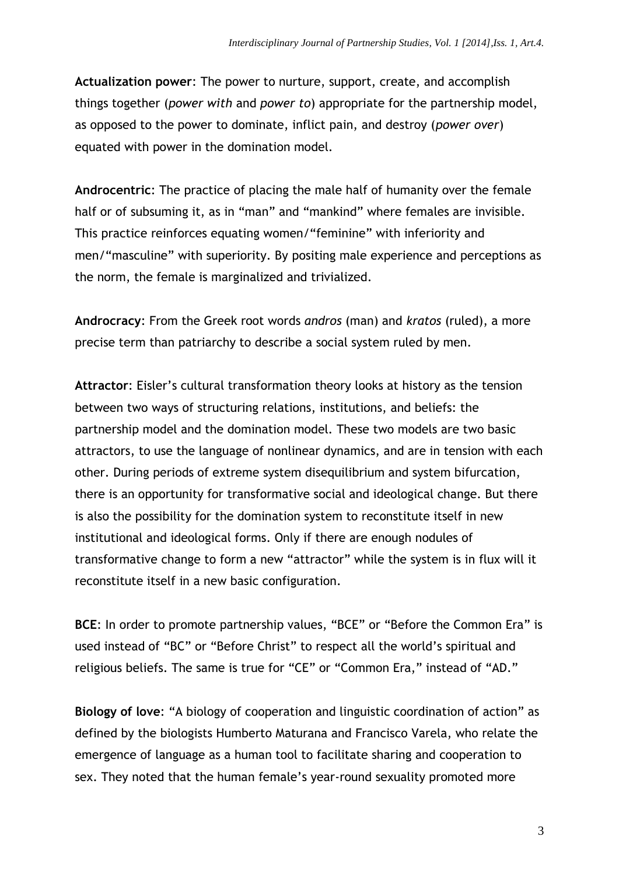**Actualization power**: The power to nurture, support, create, and accomplish things together (*power with* and *power to*) appropriate for the partnership model, as opposed to the power to dominate, inflict pain, and destroy (*power over*) equated with power in the domination model.

**Androcentric**: The practice of placing the male half of humanity over the female half or of subsuming it, as in "man" and "mankind" where females are invisible. This practice reinforces equating women/"feminine" with inferiority and men/"masculine" with superiority. By positing male experience and perceptions as the norm, the female is marginalized and trivialized.

**Androcracy**: From the Greek root words *andros* (man) and *kratos* (ruled), a more precise term than patriarchy to describe a social system ruled by men.

**Attractor**: Eisler's cultural transformation theory looks at history as the tension between two ways of structuring relations, institutions, and beliefs: the partnership model and the domination model. These two models are two basic attractors, to use the language of nonlinear dynamics, and are in tension with each other. During periods of extreme system disequilibrium and system bifurcation, there is an opportunity for transformative social and ideological change. But there is also the possibility for the domination system to reconstitute itself in new institutional and ideological forms. Only if there are enough nodules of transformative change to form a new "attractor" while the system is in flux will it reconstitute itself in a new basic configuration.

**BCE**: In order to promote partnership values, "BCE" or "Before the Common Era" is used instead of "BC" or "Before Christ" to respect all the world's spiritual and religious beliefs. The same is true for "CE" or "Common Era," instead of "AD."

**Biology of love**: "A biology of cooperation and linguistic coordination of action" as defined by the biologists Humberto Maturana and Francisco Varela, who relate the emergence of language as a human tool to facilitate sharing and cooperation to sex. They noted that the human female's year-round sexuality promoted more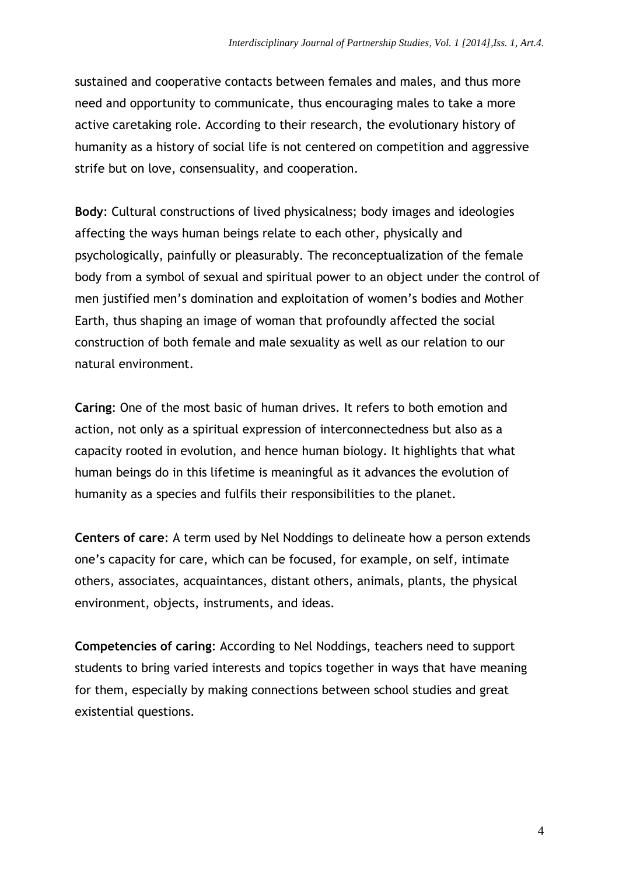sustained and cooperative contacts between females and males, and thus more need and opportunity to communicate, thus encouraging males to take a more active caretaking role. According to their research, the evolutionary history of humanity as a history of social life is not centered on competition and aggressive strife but on love, consensuality, and cooperation.

**Body**: Cultural constructions of lived physicalness; body images and ideologies affecting the ways human beings relate to each other, physically and psychologically, painfully or pleasurably. The reconceptualization of the female body from a symbol of sexual and spiritual power to an object under the control of men justified men's domination and exploitation of women's bodies and Mother Earth, thus shaping an image of woman that profoundly affected the social construction of both female and male sexuality as well as our relation to our natural environment.

**Caring**: One of the most basic of human drives. It refers to both emotion and action, not only as a spiritual expression of interconnectedness but also as a capacity rooted in evolution, and hence human biology. It highlights that what human beings do in this lifetime is meaningful as it advances the evolution of humanity as a species and fulfils their responsibilities to the planet.

**Centers of care**: A term used by Nel Noddings to delineate how a person extends one's capacity for care, which can be focused, for example, on self, intimate others, associates, acquaintances, distant others, animals, plants, the physical environment, objects, instruments, and ideas.

**Competencies of caring**: According to Nel Noddings, teachers need to support students to bring varied interests and topics together in ways that have meaning for them, especially by making connections between school studies and great existential questions.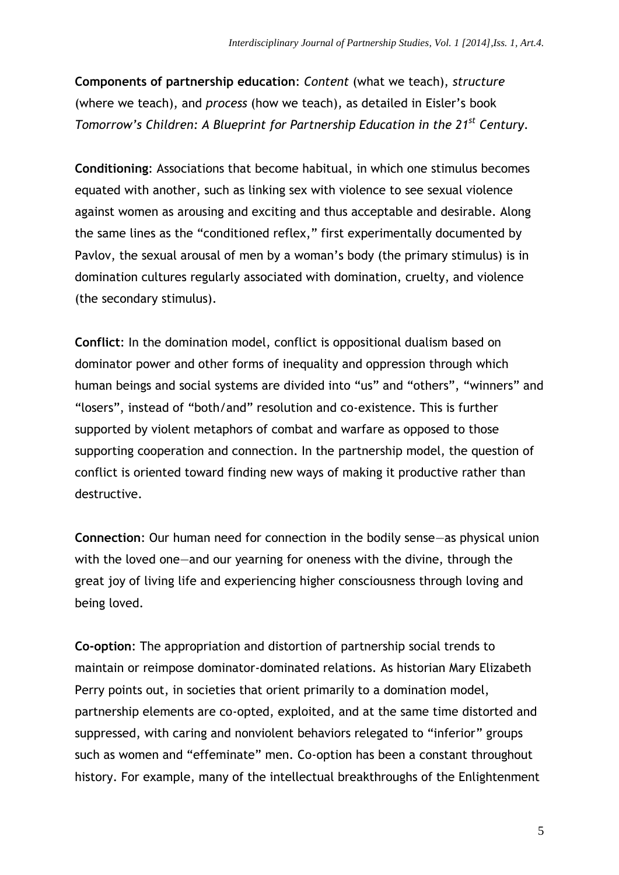**Components of partnership education**: *Content* (what we teach), *structure* (where we teach), and *process* (how we teach), as detailed in Eisler's book *Tomorrow's Children: A Blueprint for Partnership Education in the 21st Century*.

**Conditioning**: Associations that become habitual, in which one stimulus becomes equated with another, such as linking sex with violence to see sexual violence against women as arousing and exciting and thus acceptable and desirable. Along the same lines as the "conditioned reflex," first experimentally documented by Pavlov, the sexual arousal of men by a woman's body (the primary stimulus) is in domination cultures regularly associated with domination, cruelty, and violence (the secondary stimulus).

**Conflict**: In the domination model, conflict is oppositional dualism based on dominator power and other forms of inequality and oppression through which human beings and social systems are divided into "us" and "others", "winners" and "losers", instead of "both/and" resolution and co-existence. This is further supported by violent metaphors of combat and warfare as opposed to those supporting cooperation and connection. In the partnership model, the question of conflict is oriented toward finding new ways of making it productive rather than destructive.

**Connection**: Our human need for connection in the bodily sense—as physical union with the loved one—and our yearning for oneness with the divine, through the great joy of living life and experiencing higher consciousness through loving and being loved.

**Co-option**: The appropriation and distortion of partnership social trends to maintain or reimpose dominator-dominated relations. As historian Mary Elizabeth Perry points out, in societies that orient primarily to a domination model, partnership elements are co-opted, exploited, and at the same time distorted and suppressed, with caring and nonviolent behaviors relegated to "inferior" groups such as women and "effeminate" men. Co-option has been a constant throughout history. For example, many of the intellectual breakthroughs of the Enlightenment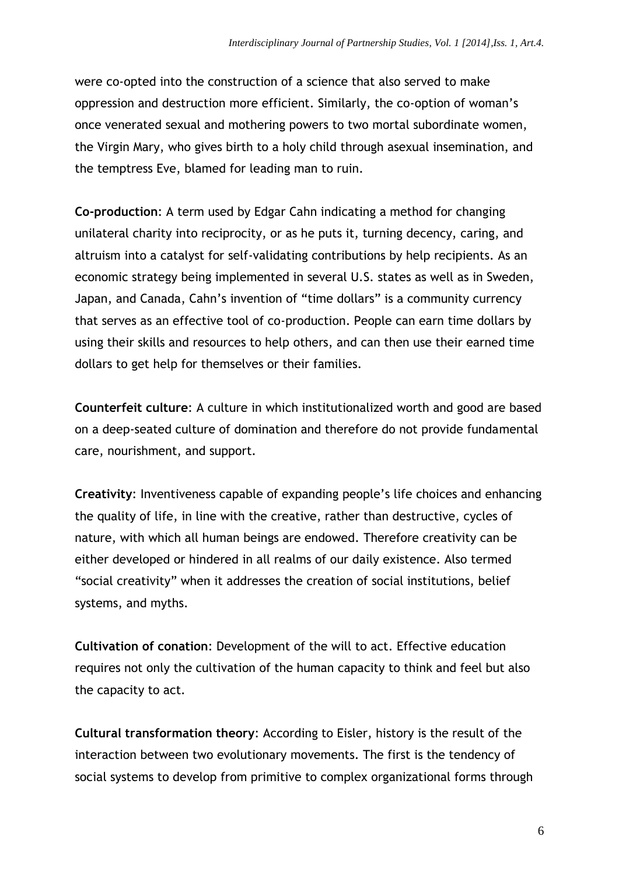were co-opted into the construction of a science that also served to make oppression and destruction more efficient. Similarly, the co-option of woman's once venerated sexual and mothering powers to two mortal subordinate women, the Virgin Mary, who gives birth to a holy child through asexual insemination, and the temptress Eve, blamed for leading man to ruin.

**Co-production**: A term used by Edgar Cahn indicating a method for changing unilateral charity into reciprocity, or as he puts it, turning decency, caring, and altruism into a catalyst for self-validating contributions by help recipients. As an economic strategy being implemented in several U.S. states as well as in Sweden, Japan, and Canada, Cahn's invention of "time dollars" is a community currency that serves as an effective tool of co-production. People can earn time dollars by using their skills and resources to help others, and can then use their earned time dollars to get help for themselves or their families.

**Counterfeit culture**: A culture in which institutionalized worth and good are based on a deep-seated culture of domination and therefore do not provide fundamental care, nourishment, and support.

**Creativity**: Inventiveness capable of expanding people's life choices and enhancing the quality of life, in line with the creative, rather than destructive, cycles of nature, with which all human beings are endowed. Therefore creativity can be either developed or hindered in all realms of our daily existence. Also termed "social creativity" when it addresses the creation of social institutions, belief systems, and myths.

**Cultivation of conation**: Development of the will to act. Effective education requires not only the cultivation of the human capacity to think and feel but also the capacity to act.

**Cultural transformation theory**: According to Eisler, history is the result of the interaction between two evolutionary movements. The first is the tendency of social systems to develop from primitive to complex organizational forms through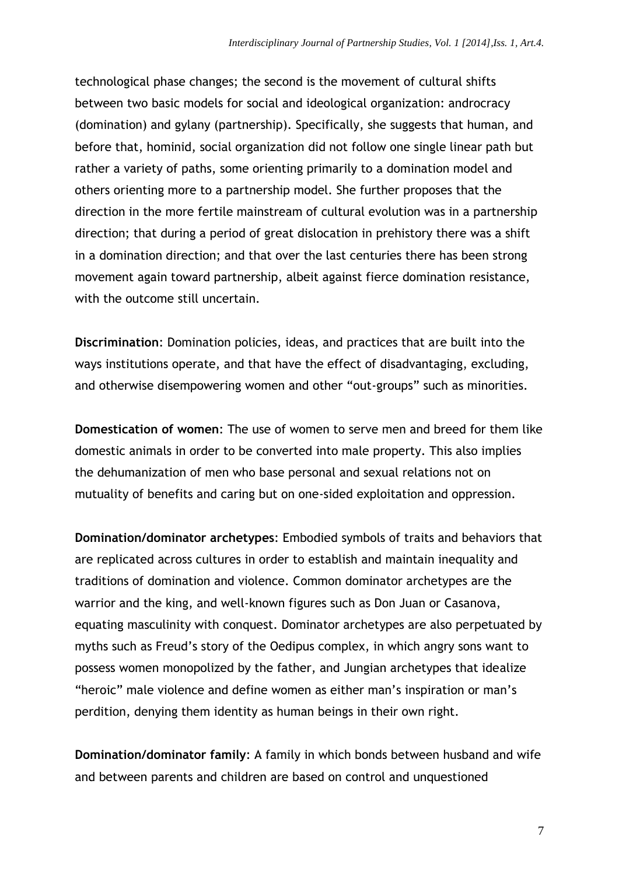technological phase changes; the second is the movement of cultural shifts between two basic models for social and ideological organization: androcracy (domination) and gylany (partnership). Specifically, she suggests that human, and before that, hominid, social organization did not follow one single linear path but rather a variety of paths, some orienting primarily to a domination model and others orienting more to a partnership model. She further proposes that the direction in the more fertile mainstream of cultural evolution was in a partnership direction; that during a period of great dislocation in prehistory there was a shift in a domination direction; and that over the last centuries there has been strong movement again toward partnership, albeit against fierce domination resistance, with the outcome still uncertain.

**Discrimination**: Domination policies, ideas, and practices that are built into the ways institutions operate, and that have the effect of disadvantaging, excluding, and otherwise disempowering women and other "out-groups" such as minorities.

**Domestication of women**: The use of women to serve men and breed for them like domestic animals in order to be converted into male property. This also implies the dehumanization of men who base personal and sexual relations not on mutuality of benefits and caring but on one-sided exploitation and oppression.

**Domination/dominator archetypes**: Embodied symbols of traits and behaviors that are replicated across cultures in order to establish and maintain inequality and traditions of domination and violence. Common dominator archetypes are the warrior and the king, and well-known figures such as Don Juan or Casanova, equating masculinity with conquest. Dominator archetypes are also perpetuated by myths such as Freud's story of the Oedipus complex, in which angry sons want to possess women monopolized by the father, and Jungian archetypes that idealize "heroic" male violence and define women as either man's inspiration or man's perdition, denying them identity as human beings in their own right.

**Domination/dominator family**: A family in which bonds between husband and wife and between parents and children are based on control and unquestioned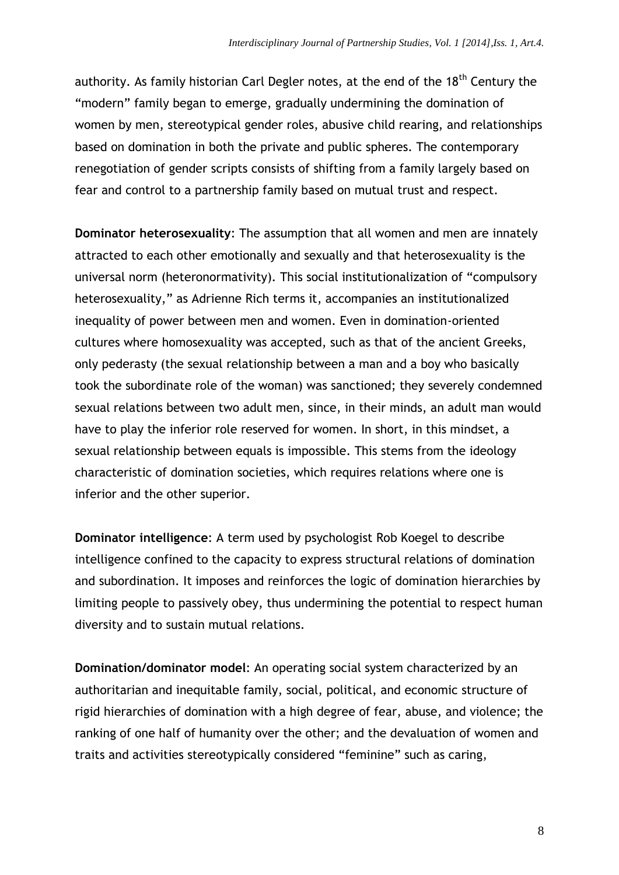authority. As family historian Carl Degler notes, at the end of the  $18<sup>th</sup>$  Century the "modern" family began to emerge, gradually undermining the domination of women by men, stereotypical gender roles, abusive child rearing, and relationships based on domination in both the private and public spheres. The contemporary renegotiation of gender scripts consists of shifting from a family largely based on fear and control to a partnership family based on mutual trust and respect.

**Dominator heterosexuality**: The assumption that all women and men are innately attracted to each other emotionally and sexually and that heterosexuality is the universal norm (heteronormativity). This social institutionalization of "compulsory heterosexuality," as Adrienne Rich terms it, accompanies an institutionalized inequality of power between men and women. Even in domination-oriented cultures where homosexuality was accepted, such as that of the ancient Greeks, only pederasty (the sexual relationship between a man and a boy who basically took the subordinate role of the woman) was sanctioned; they severely condemned sexual relations between two adult men, since, in their minds, an adult man would have to play the inferior role reserved for women. In short, in this mindset, a sexual relationship between equals is impossible. This stems from the ideology characteristic of domination societies, which requires relations where one is inferior and the other superior.

**Dominator intelligence**: A term used by psychologist Rob Koegel to describe intelligence confined to the capacity to express structural relations of domination and subordination. It imposes and reinforces the logic of domination hierarchies by limiting people to passively obey, thus undermining the potential to respect human diversity and to sustain mutual relations.

**Domination/dominator model**: An operating social system characterized by an authoritarian and inequitable family, social, political, and economic structure of rigid hierarchies of domination with a high degree of fear, abuse, and violence; the ranking of one half of humanity over the other; and the devaluation of women and traits and activities stereotypically considered "feminine" such as caring,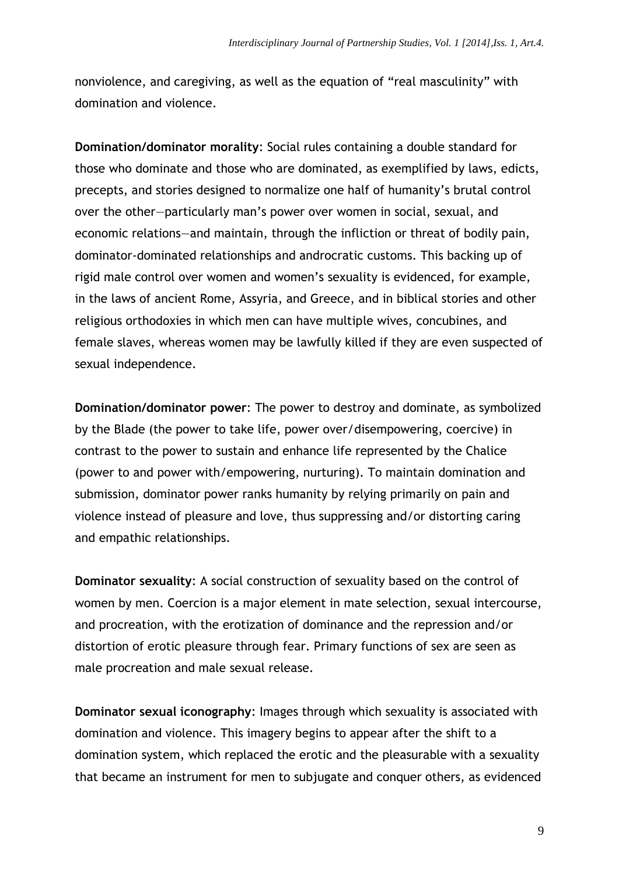nonviolence, and caregiving, as well as the equation of "real masculinity" with domination and violence.

**Domination/dominator morality**: Social rules containing a double standard for those who dominate and those who are dominated, as exemplified by laws, edicts, precepts, and stories designed to normalize one half of humanity's brutal control over the other—particularly man's power over women in social, sexual, and economic relations—and maintain, through the infliction or threat of bodily pain, dominator-dominated relationships and androcratic customs. This backing up of rigid male control over women and women's sexuality is evidenced, for example, in the laws of ancient Rome, Assyria, and Greece, and in biblical stories and other religious orthodoxies in which men can have multiple wives, concubines, and female slaves, whereas women may be lawfully killed if they are even suspected of sexual independence.

**Domination/dominator power**: The power to destroy and dominate, as symbolized by the Blade (the power to take life, power over/disempowering, coercive) in contrast to the power to sustain and enhance life represented by the Chalice (power to and power with/empowering, nurturing). To maintain domination and submission, dominator power ranks humanity by relying primarily on pain and violence instead of pleasure and love, thus suppressing and/or distorting caring and empathic relationships.

**Dominator sexuality**: A social construction of sexuality based on the control of women by men. Coercion is a major element in mate selection, sexual intercourse, and procreation, with the erotization of dominance and the repression and/or distortion of erotic pleasure through fear. Primary functions of sex are seen as male procreation and male sexual release.

**Dominator sexual iconography**: Images through which sexuality is associated with domination and violence. This imagery begins to appear after the shift to a domination system, which replaced the erotic and the pleasurable with a sexuality that became an instrument for men to subjugate and conquer others, as evidenced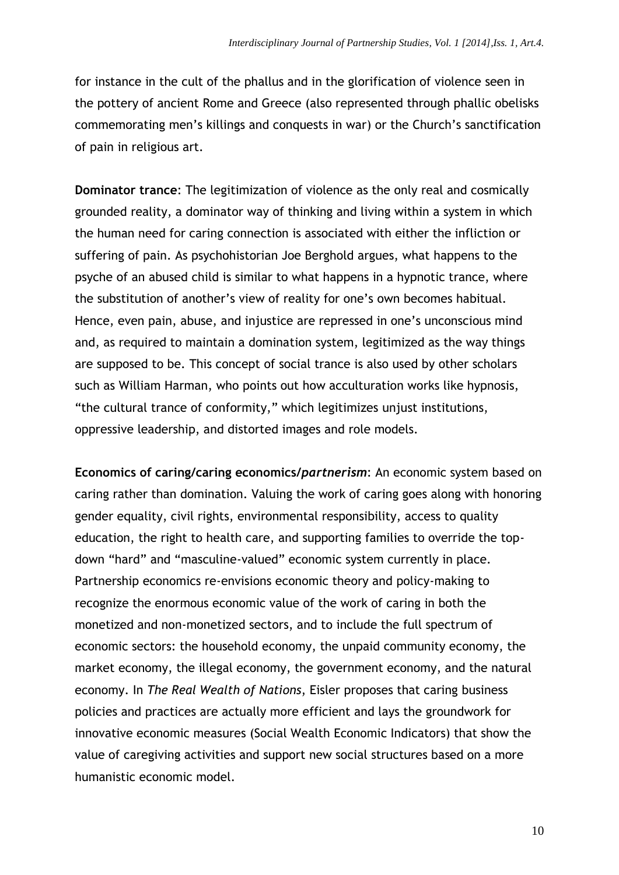for instance in the cult of the phallus and in the glorification of violence seen in the pottery of ancient Rome and Greece (also represented through phallic obelisks commemorating men's killings and conquests in war) or the Church's sanctification of pain in religious art.

**Dominator trance**: The legitimization of violence as the only real and cosmically grounded reality, a dominator way of thinking and living within a system in which the human need for caring connection is associated with either the infliction or suffering of pain. As psychohistorian Joe Berghold argues, what happens to the psyche of an abused child is similar to what happens in a hypnotic trance, where the substitution of another's view of reality for one's own becomes habitual. Hence, even pain, abuse, and injustice are repressed in one's unconscious mind and, as required to maintain a domination system, legitimized as the way things are supposed to be. This concept of social trance is also used by other scholars such as William Harman, who points out how acculturation works like hypnosis, "the cultural trance of conformity," which legitimizes unjust institutions, oppressive leadership, and distorted images and role models.

**Economics of caring/caring economics/***partnerism*: An economic system based on caring rather than domination. Valuing the work of caring goes along with honoring gender equality, civil rights, environmental responsibility, access to quality education, the right to health care, and supporting families to override the topdown "hard" and "masculine-valued" economic system currently in place. Partnership economics re-envisions economic theory and policy-making to recognize the enormous economic value of the work of caring in both the monetized and non-monetized sectors, and to include the full spectrum of economic sectors: the household economy, the unpaid community economy, the market economy, the illegal economy, the government economy, and the natural economy. In *The Real Wealth of Nations*, Eisler proposes that caring business policies and practices are actually more efficient and lays the groundwork for innovative economic measures (Social Wealth Economic Indicators) that show the value of caregiving activities and support new social structures based on a more humanistic economic model.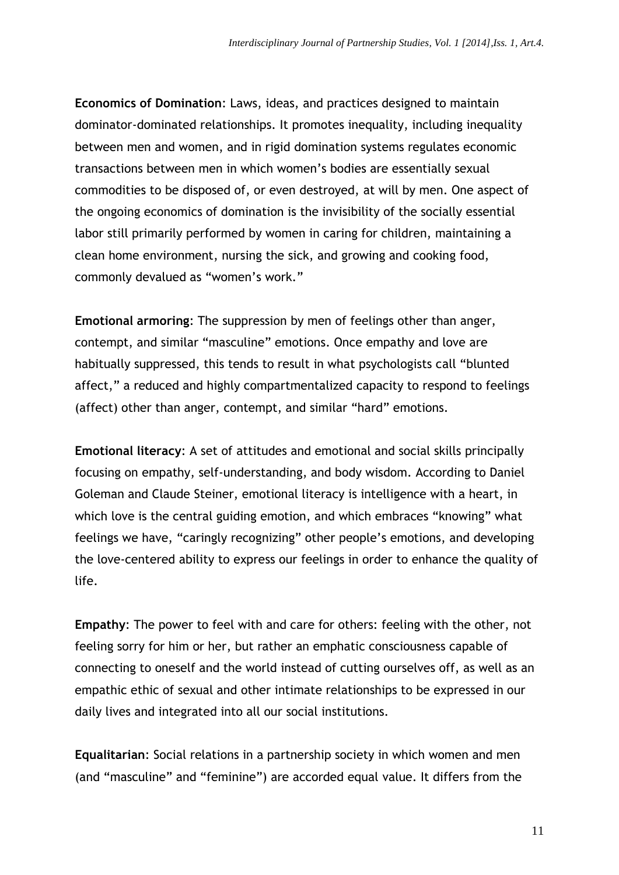**Economics of Domination**: Laws, ideas, and practices designed to maintain dominator-dominated relationships. It promotes inequality, including inequality between men and women, and in rigid domination systems regulates economic transactions between men in which women's bodies are essentially sexual commodities to be disposed of, or even destroyed, at will by men. One aspect of the ongoing economics of domination is the invisibility of the socially essential labor still primarily performed by women in caring for children, maintaining a clean home environment, nursing the sick, and growing and cooking food, commonly devalued as "women's work."

**Emotional armoring**: The suppression by men of feelings other than anger, contempt, and similar "masculine" emotions. Once empathy and love are habitually suppressed, this tends to result in what psychologists call "blunted affect," a reduced and highly compartmentalized capacity to respond to feelings (affect) other than anger, contempt, and similar "hard" emotions.

**Emotional literacy**: A set of attitudes and emotional and social skills principally focusing on empathy, self-understanding, and body wisdom. According to Daniel Goleman and Claude Steiner, emotional literacy is intelligence with a heart, in which love is the central guiding emotion, and which embraces "knowing" what feelings we have, "caringly recognizing" other people's emotions, and developing the love-centered ability to express our feelings in order to enhance the quality of life.

**Empathy**: The power to feel with and care for others: feeling with the other, not feeling sorry for him or her, but rather an emphatic consciousness capable of connecting to oneself and the world instead of cutting ourselves off, as well as an empathic ethic of sexual and other intimate relationships to be expressed in our daily lives and integrated into all our social institutions.

**Equalitarian**: Social relations in a partnership society in which women and men (and "masculine" and "feminine") are accorded equal value. It differs from the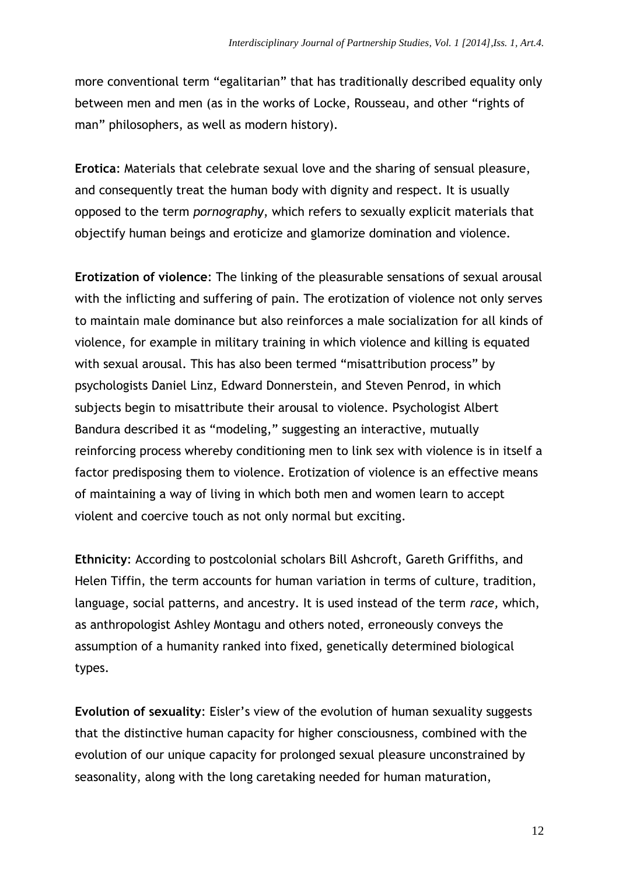more conventional term "egalitarian" that has traditionally described equality only between men and men (as in the works of Locke, Rousseau, and other "rights of man" philosophers, as well as modern history).

**Erotica**: Materials that celebrate sexual love and the sharing of sensual pleasure, and consequently treat the human body with dignity and respect. It is usually opposed to the term *pornography*, which refers to sexually explicit materials that objectify human beings and eroticize and glamorize domination and violence.

**Erotization of violence**: The linking of the pleasurable sensations of sexual arousal with the inflicting and suffering of pain. The erotization of violence not only serves to maintain male dominance but also reinforces a male socialization for all kinds of violence, for example in military training in which violence and killing is equated with sexual arousal. This has also been termed "misattribution process" by psychologists Daniel Linz, Edward Donnerstein, and Steven Penrod, in which subjects begin to misattribute their arousal to violence. Psychologist Albert Bandura described it as "modeling," suggesting an interactive, mutually reinforcing process whereby conditioning men to link sex with violence is in itself a factor predisposing them to violence. Erotization of violence is an effective means of maintaining a way of living in which both men and women learn to accept violent and coercive touch as not only normal but exciting.

**Ethnicity**: According to postcolonial scholars Bill Ashcroft, Gareth Griffiths, and Helen Tiffin, the term accounts for human variation in terms of culture, tradition, language, social patterns, and ancestry. It is used instead of the term *race,* which, as anthropologist Ashley Montagu and others noted, erroneously conveys the assumption of a humanity ranked into fixed, genetically determined biological types.

**Evolution of sexuality**: Eisler's view of the evolution of human sexuality suggests that the distinctive human capacity for higher consciousness, combined with the evolution of our unique capacity for prolonged sexual pleasure unconstrained by seasonality, along with the long caretaking needed for human maturation,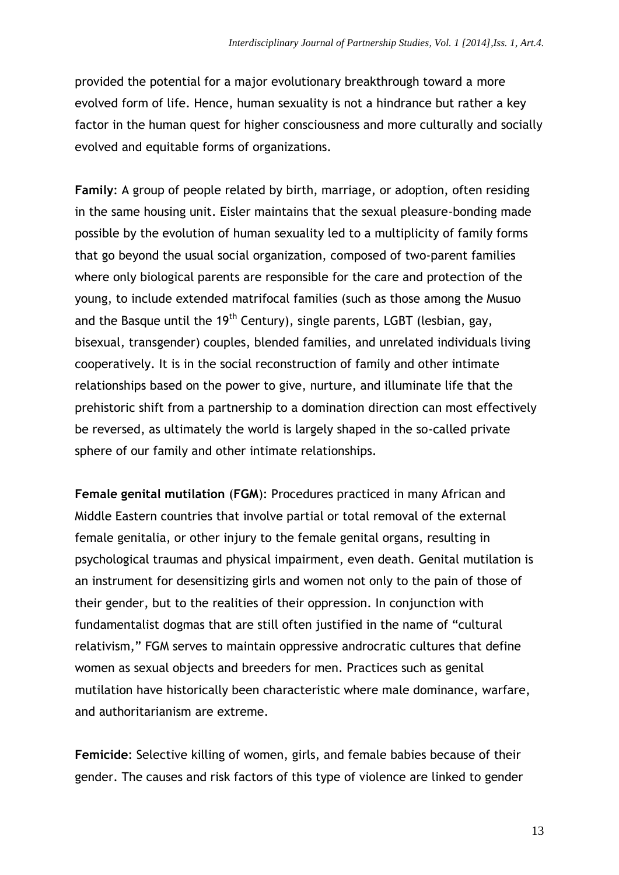provided the potential for a major evolutionary breakthrough toward a more evolved form of life. Hence, human sexuality is not a hindrance but rather a key factor in the human quest for higher consciousness and more culturally and socially evolved and equitable forms of organizations.

**Family**: A group of people related by birth, marriage, or adoption, often residing in the same housing unit. Eisler maintains that the sexual pleasure-bonding made possible by the evolution of human sexuality led to a multiplicity of family forms that go beyond the usual social organization, composed of two-parent families where only biological parents are responsible for the care and protection of the young, to include extended matrifocal families (such as those among the Musuo and the Basque until the 19<sup>th</sup> Century), single parents, LGBT (lesbian, gay, bisexual, transgender) couples, blended families, and unrelated individuals living cooperatively. It is in the social reconstruction of family and other intimate relationships based on the power to give, nurture, and illuminate life that the prehistoric shift from a partnership to a domination direction can most effectively be reversed, as ultimately the world is largely shaped in the so-called private sphere of our family and other intimate relationships.

**Female genital mutilation** (**FGM**): Procedures practiced in many African and Middle Eastern countries that involve partial or total removal of the external female genitalia, or other injury to the female genital organs, resulting in psychological traumas and physical impairment, even death. Genital mutilation is an instrument for desensitizing girls and women not only to the pain of those of their gender, but to the realities of their oppression. In conjunction with fundamentalist dogmas that are still often justified in the name of "cultural relativism," FGM serves to maintain oppressive androcratic cultures that define women as sexual objects and breeders for men. Practices such as genital mutilation have historically been characteristic where male dominance, warfare, and authoritarianism are extreme.

**Femicide**: Selective killing of women, girls, and female babies because of their gender. The causes and risk factors of this type of violence are linked to gender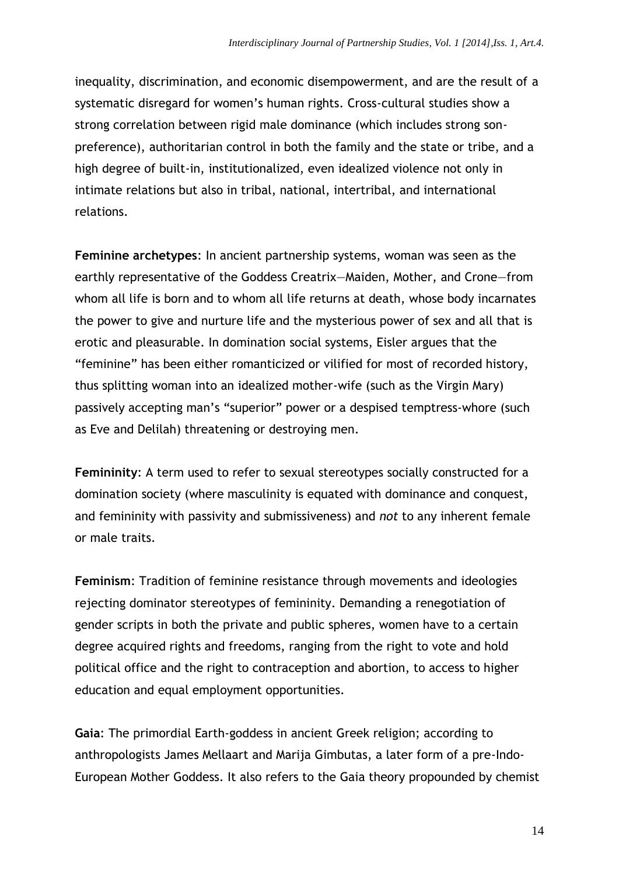inequality, discrimination, and economic disempowerment, and are the result of a systematic disregard for women's human rights. Cross-cultural studies show a strong correlation between rigid male dominance (which includes strong sonpreference), authoritarian control in both the family and the state or tribe, and a high degree of built-in, institutionalized, even idealized violence not only in intimate relations but also in tribal, national, intertribal, and international relations.

**Feminine archetypes**: In ancient partnership systems, woman was seen as the earthly representative of the Goddess Creatrix—Maiden, Mother, and Crone—from whom all life is born and to whom all life returns at death, whose body incarnates the power to give and nurture life and the mysterious power of sex and all that is erotic and pleasurable. In domination social systems, Eisler argues that the "feminine" has been either romanticized or vilified for most of recorded history, thus splitting woman into an idealized mother-wife (such as the Virgin Mary) passively accepting man's "superior" power or a despised temptress-whore (such as Eve and Delilah) threatening or destroying men.

**Femininity**: A term used to refer to sexual stereotypes socially constructed for a domination society (where masculinity is equated with dominance and conquest, and femininity with passivity and submissiveness) and *not* to any inherent female or male traits.

**Feminism**: Tradition of feminine resistance through movements and ideologies rejecting dominator stereotypes of femininity. Demanding a renegotiation of gender scripts in both the private and public spheres, women have to a certain degree acquired rights and freedoms, ranging from the right to vote and hold political office and the right to contraception and abortion, to access to higher education and equal employment opportunities.

**Gaia**: The primordial Earth-goddess in ancient Greek religion; according to anthropologists James Mellaart and Marija Gimbutas, a later form of a pre-Indo-European Mother Goddess. It also refers to the Gaia theory propounded by chemist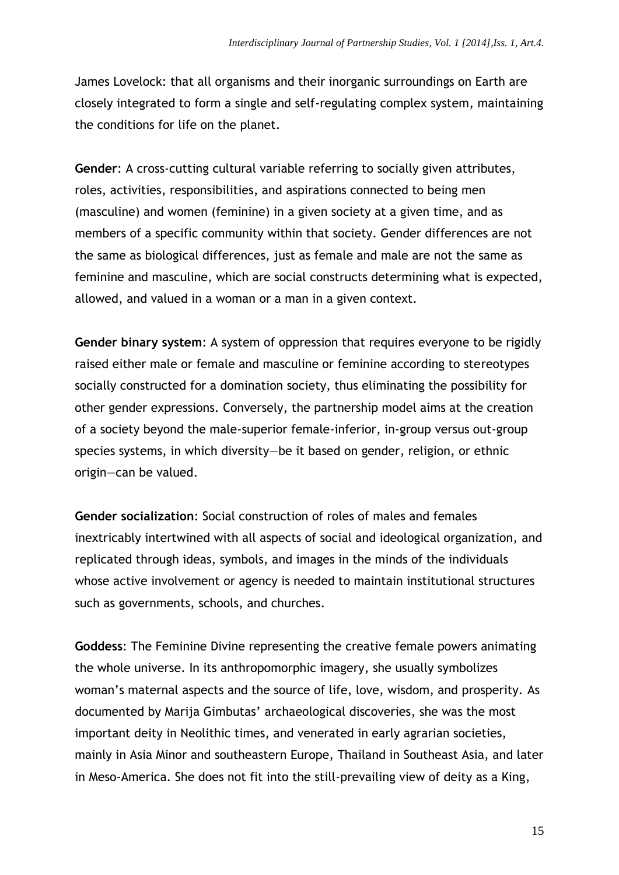James Lovelock: that all [organisms](http://en.wikipedia.org/wiki/Organism) and their [inorganic](http://en.wikipedia.org/wiki/Inorganic_compound) surroundings on [Earth](http://en.wikipedia.org/wiki/Earth) are closely integrated to form a single and self-regulating [complex system,](http://en.wikipedia.org/wiki/Complex_system) maintaining the conditions for [life](http://en.wikipedia.org/wiki/Life) on the planet.

**Gender**: A cross-cutting cultural variable referring to socially given attributes, roles, activities, responsibilities, and aspirations connected to being men (masculine) and women (feminine) in a given society at a given time, and as members of a specific community within that society. Gender differences are not the same as biological differences, just as female and male are not the same as feminine and masculine, which are social constructs determining what is expected, allowed, and valued in a woman or a man in a given context.

**Gender binary system**: A system of oppression that requires everyone to be rigidly raised either male or female and masculine or feminine according to stereotypes socially constructed for a domination society, thus eliminating the possibility for other gender expressions. Conversely, the partnership model aims at the creation of a society beyond the male-superior female-inferior, in-group versus out-group species systems, in which diversity—be it based on gender, religion, or ethnic origin—can be valued.

**Gender socialization**: Social construction of roles of males and females inextricably intertwined with all aspects of social and ideological organization, and replicated through ideas, symbols, and images in the minds of the individuals whose active involvement or agency is needed to maintain institutional structures such as governments, schools, and churches.

**Goddess**: The Feminine Divine representing the creative female powers animating the whole universe. In its anthropomorphic imagery, she usually symbolizes woman's maternal aspects and the source of life, love, wisdom, and prosperity. As documented by Marija Gimbutas' archaeological discoveries, she was the most important deity in Neolithic times, and venerated in early agrarian societies, mainly in Asia Minor and southeastern Europe, Thailand in Southeast Asia, and later in Meso-America. She does not fit into the still-prevailing view of deity as a King,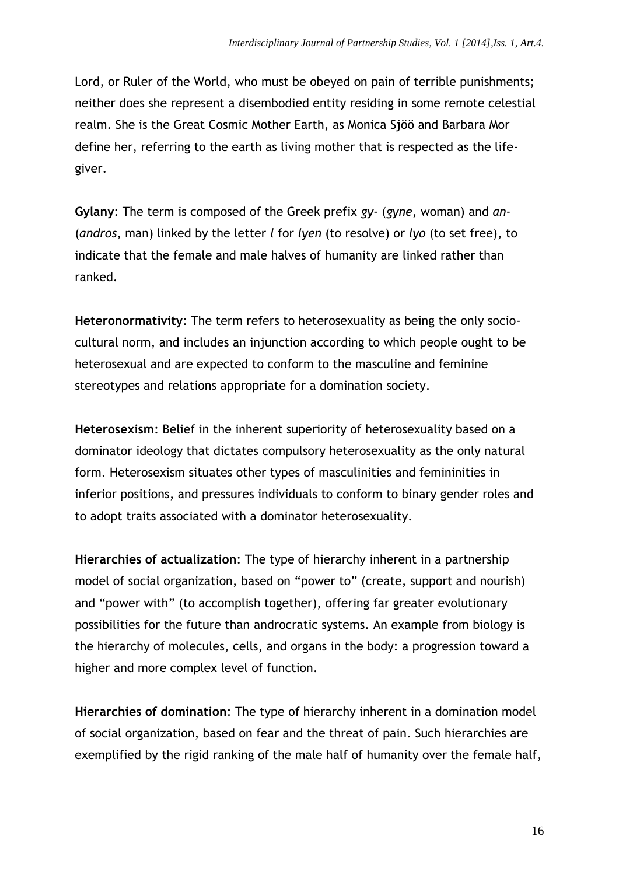Lord, or Ruler of the World, who must be obeyed on pain of terrible punishments; neither does she represent a disembodied entity residing in some remote celestial realm. She is the Great Cosmic Mother Earth, as Monica Sjöö and Barbara Mor define her, referring to the earth as living mother that is respected as the lifegiver.

**Gylany**: The term is composed of the Greek prefix *gy*- (*gyne*, woman) and *an*- (*andros*, man) linked by the letter *l* for *lyen* (to resolve) or *lyo* (to set free), to indicate that the female and male halves of humanity are linked rather than ranked.

**Heteronormativity**: The term refers to heterosexuality as being the only sociocultural norm, and includes an injunction according to which people ought to be heterosexual and are expected to conform to the masculine and feminine stereotypes and relations appropriate for a domination society.

**Heterosexism**: Belief in the inherent superiority of heterosexuality based on a dominator ideology that dictates compulsory heterosexuality as the only natural form. Heterosexism situates other types of masculinities and femininities in inferior positions, and pressures individuals to conform to binary gender roles and to adopt traits associated with a dominator heterosexuality.

**Hierarchies of actualization**: The type of hierarchy inherent in a partnership model of social organization, based on "power to" (create, support and nourish) and "power with" (to accomplish together), offering far greater evolutionary possibilities for the future than androcratic systems. An example from biology is the hierarchy of molecules, cells, and organs in the body: a progression toward a higher and more complex level of function.

**Hierarchies of domination**: The type of hierarchy inherent in a domination model of social organization, based on fear and the threat of pain. Such hierarchies are exemplified by the rigid ranking of the male half of humanity over the female half,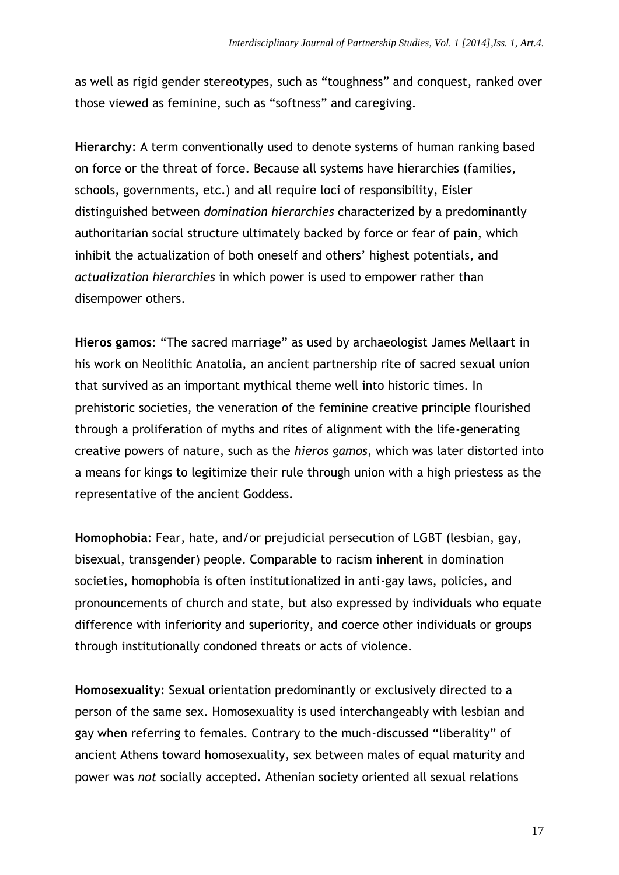as well as rigid gender stereotypes, such as "toughness" and conquest, ranked over those viewed as feminine, such as "softness" and caregiving.

**Hierarchy**: A term conventionally used to denote systems of human ranking based on force or the threat of force. Because all systems have hierarchies (families, schools, governments, etc.) and all require loci of responsibility, Eisler distinguished between *domination hierarchies* characterized by a predominantly authoritarian social structure ultimately backed by force or fear of pain, which inhibit the actualization of both oneself and others' highest potentials, and *actualization hierarchies* in which power is used to empower rather than disempower others.

**Hieros gamos**: "The sacred marriage" as used by archaeologist James Mellaart in his work on Neolithic Anatolia, an ancient partnership rite of sacred sexual union that survived as an important mythical theme well into historic times. In prehistoric societies, the veneration of the feminine creative principle flourished through a proliferation of myths and rites of alignment with the life-generating creative powers of nature, such as the *hieros gamos*, which was later distorted into a means for kings to legitimize their rule through union with a high priestess as the representative of the ancient Goddess.

**Homophobia**: Fear, hate, and/or prejudicial persecution of LGBT (lesbian, gay, bisexual, transgender) people. Comparable to racism inherent in domination societies, homophobia is often institutionalized in anti-gay laws, policies, and pronouncements of church and state, but also expressed by individuals who equate difference with inferiority and superiority, and coerce other individuals or groups through institutionally condoned threats or acts of violence.

**Homosexuality**: Sexual orientation predominantly or exclusively directed to a person of the same sex. Homosexuality is used interchangeably with lesbian and gay when referring to females. Contrary to the much-discussed "liberality" of ancient Athens toward homosexuality, sex between males of equal maturity and power was *not* socially accepted. Athenian society oriented all sexual relations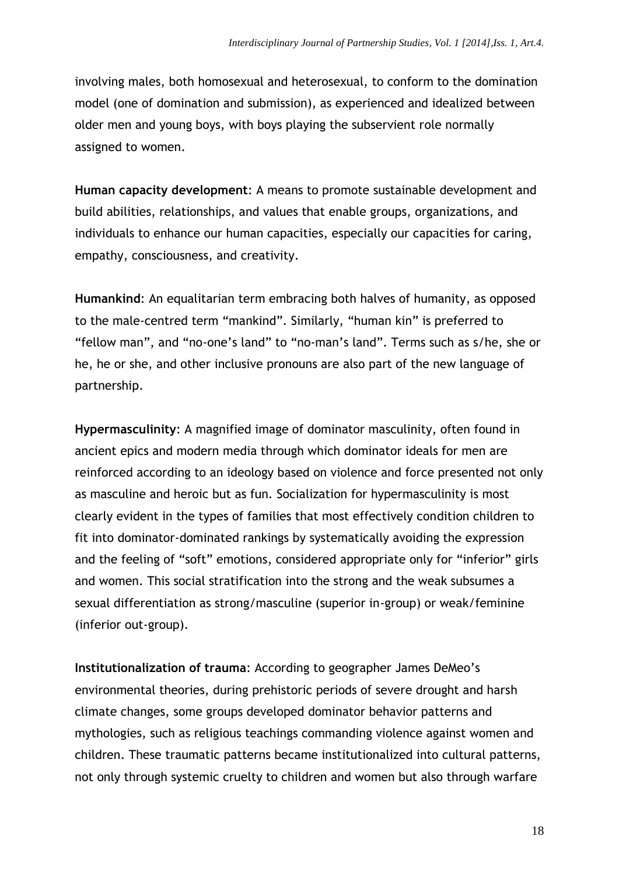involving males, both homosexual and heterosexual, to conform to the domination model (one of domination and submission), as experienced and idealized between older men and young boys, with boys playing the subservient role normally assigned to women.

**Human capacity development**: A means to promote sustainable development and build abilities, relationships, and values that enable groups, organizations, and individuals to enhance our human capacities, especially our capacities for caring, empathy, consciousness, and creativity.

**Humankind**: An equalitarian term embracing both halves of humanity, as opposed to the male-centred term "mankind". Similarly, "human kin" is preferred to "fellow man", and "no-one's land" to "no-man's land". Terms such as s/he, she or he, he or she, and other inclusive pronouns are also part of the new language of partnership.

**Hypermasculinity**: A magnified image of dominator masculinity, often found in ancient epics and modern media through which dominator ideals for men are reinforced according to an ideology based on violence and force presented not only as masculine and heroic but as fun. Socialization for hypermasculinity is most clearly evident in the types of families that most effectively condition children to fit into dominator-dominated rankings by systematically avoiding the expression and the feeling of "soft" emotions, considered appropriate only for "inferior" girls and women. This social stratification into the strong and the weak subsumes a sexual differentiation as strong/masculine (superior in-group) or weak/feminine (inferior out-group).

**Institutionalization of trauma**: According to geographer James DeMeo's environmental theories, during prehistoric periods of severe drought and harsh climate changes, some groups developed dominator behavior patterns and mythologies, such as religious teachings commanding violence against women and children. These traumatic patterns became institutionalized into cultural patterns, not only through systemic cruelty to children and women but also through warfare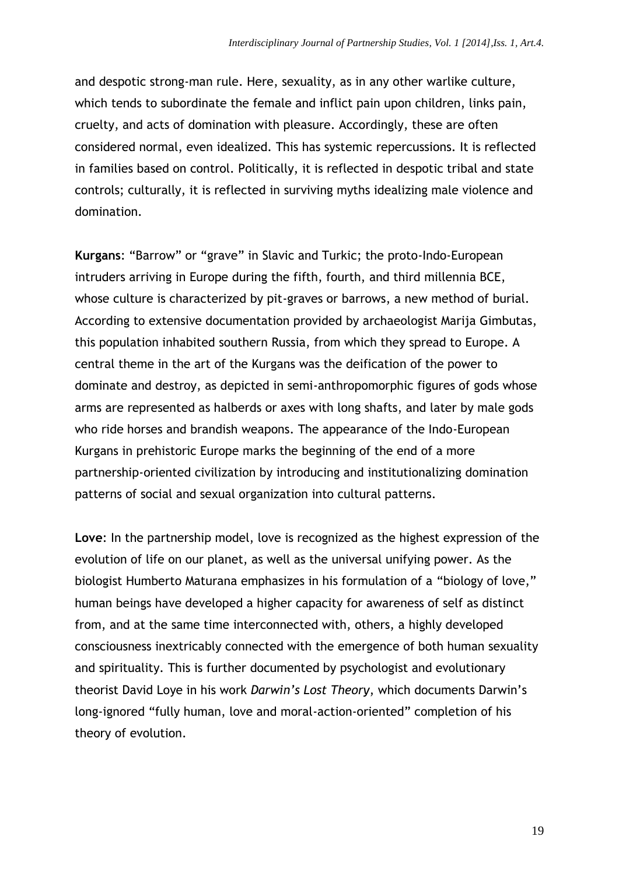and despotic strong-man rule. Here, sexuality, as in any other warlike culture, which tends to subordinate the female and inflict pain upon children, links pain, cruelty, and acts of domination with pleasure. Accordingly, these are often considered normal, even idealized. This has systemic repercussions. It is reflected in families based on control. Politically, it is reflected in despotic tribal and state controls; culturally, it is reflected in surviving myths idealizing male violence and domination.

**Kurgans**: "Barrow" or "grave" in Slavic and Turkic; the proto-Indo-European intruders arriving in Europe during the fifth, fourth, and third millennia BCE, whose culture is characterized by pit-graves or barrows, a new method of burial. According to extensive documentation provided by archaeologist Marija Gimbutas, this population inhabited southern Russia, from which they spread to Europe. A central theme in the art of the Kurgans was the deification of the power to dominate and destroy, as depicted in semi-anthropomorphic figures of gods whose arms are represented as halberds or axes with long shafts, and later by male gods who ride horses and brandish weapons. The appearance of the Indo-European Kurgans in prehistoric Europe marks the beginning of the end of a more partnership-oriented civilization by introducing and institutionalizing domination patterns of social and sexual organization into cultural patterns.

**Love**: In the partnership model, love is recognized as the highest expression of the evolution of life on our planet, as well as the universal unifying power. As the biologist Humberto Maturana emphasizes in his formulation of a "biology of love," human beings have developed a higher capacity for awareness of self as distinct from, and at the same time interconnected with, others, a highly developed consciousness inextricably connected with the emergence of both human sexuality and spirituality. This is further documented by psychologist and evolutionary theorist David Loye in his work *Darwin's Lost Theory*, which documents Darwin's long-ignored "fully human, love and moral-action-oriented" completion of his theory of evolution.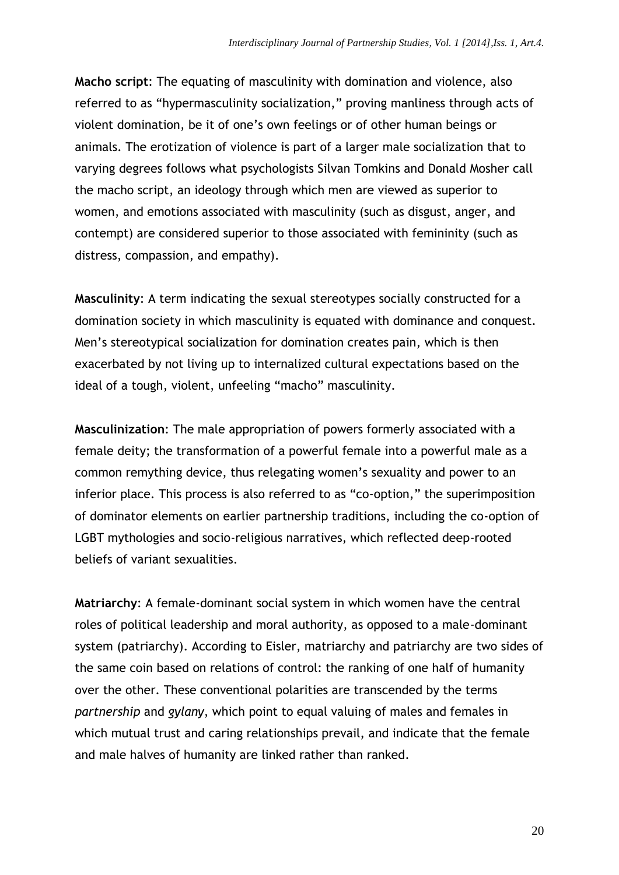**Macho script**: The equating of masculinity with domination and violence, also referred to as "hypermasculinity socialization," proving manliness through acts of violent domination, be it of one's own feelings or of other human beings or animals. The erotization of violence is part of a larger male socialization that to varying degrees follows what psychologists Silvan Tomkins and Donald Mosher call the macho script, an ideology through which men are viewed as superior to women, and emotions associated with masculinity (such as disgust, anger, and contempt) are considered superior to those associated with femininity (such as distress, compassion, and empathy).

**Masculinity**: A term indicating the sexual stereotypes socially constructed for a domination society in which masculinity is equated with dominance and conquest. Men's stereotypical socialization for domination creates pain, which is then exacerbated by not living up to internalized cultural expectations based on the ideal of a tough, violent, unfeeling "macho" masculinity.

**Masculinization**: The male appropriation of powers formerly associated with a female deity; the transformation of a powerful female into a powerful male as a common remything device, thus relegating women's sexuality and power to an inferior place. This process is also referred to as "co-option," the superimposition of dominator elements on earlier partnership traditions, including the co-option of LGBT mythologies and socio-religious narratives, which reflected deep-rooted beliefs of variant sexualities.

**Matriarchy**: A female-dominant social system in which women have the central roles of political leadership and moral authority, as opposed to a male-dominant system (patriarchy). According to Eisler, matriarchy and patriarchy are two sides of the same coin based on relations of control: the ranking of one half of humanity over the other. These conventional polarities are transcended by the terms *partnership* and *gylany*, which point to equal valuing of males and females in which mutual trust and caring relationships prevail, and indicate that the female and male halves of humanity are linked rather than ranked.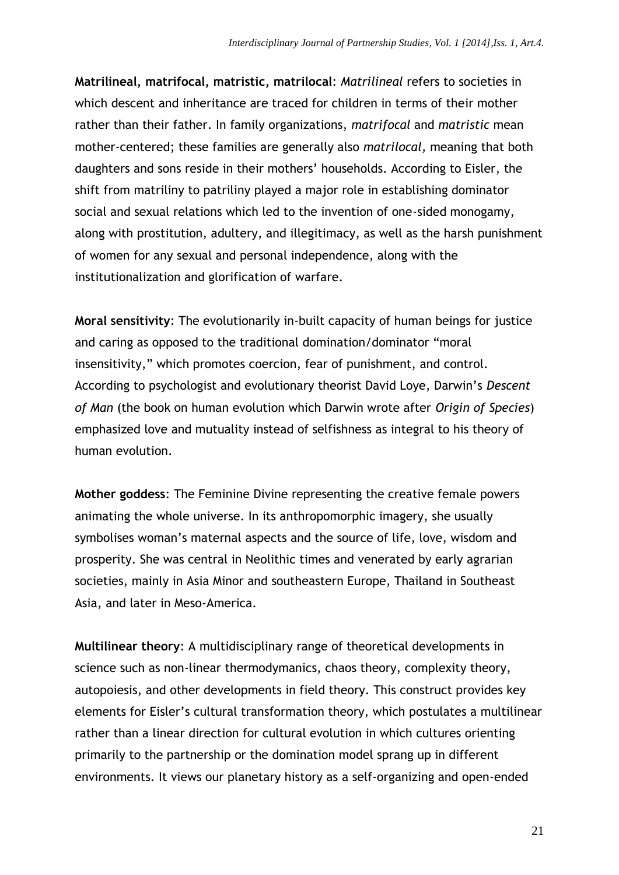**Matrilineal, matrifocal, matristic, matrilocal**: *Matrilineal* refers to societies in which descent and inheritance are traced for children in terms of their mother rather than their father. In family organizations, *matrifocal* and *matristic* mean mother-centered; these families are generally also *matrilocal,* meaning that both daughters and sons reside in their mothers' households. According to Eisler, the shift from matriliny to patriliny played a major role in establishing dominator social and sexual relations which led to the invention of one-sided monogamy, along with prostitution, adultery, and illegitimacy, as well as the harsh punishment of women for any sexual and personal independence, along with the institutionalization and glorification of warfare.

**Moral sensitivity**: The evolutionarily in-built capacity of human beings for justice and caring as opposed to the traditional domination/dominator "moral insensitivity," which promotes coercion, fear of punishment, and control. According to psychologist and evolutionary theorist David Loye, Darwin's *Descent of Man* (the book on human evolution which Darwin wrote after *Origin of Species*) emphasized love and mutuality instead of selfishness as integral to his theory of human evolution.

**Mother goddess**: The Feminine Divine representing the creative female powers animating the whole universe. In its anthropomorphic imagery, she usually symbolises woman's maternal aspects and the source of life, love, wisdom and prosperity. She was central in Neolithic times and venerated by early agrarian societies, mainly in Asia Minor and southeastern Europe, Thailand in Southeast Asia, and later in Meso-America.

**Multilinear theory**: A multidisciplinary range of theoretical developments in science such as non-linear thermodymanics, chaos theory, complexity theory, autopoiesis, and other developments in field theory. This construct provides key elements for Eisler's cultural transformation theory, which postulates a multilinear rather than a linear direction for cultural evolution in which cultures orienting primarily to the partnership or the domination model sprang up in different environments. It views our planetary history as a self-organizing and open-ended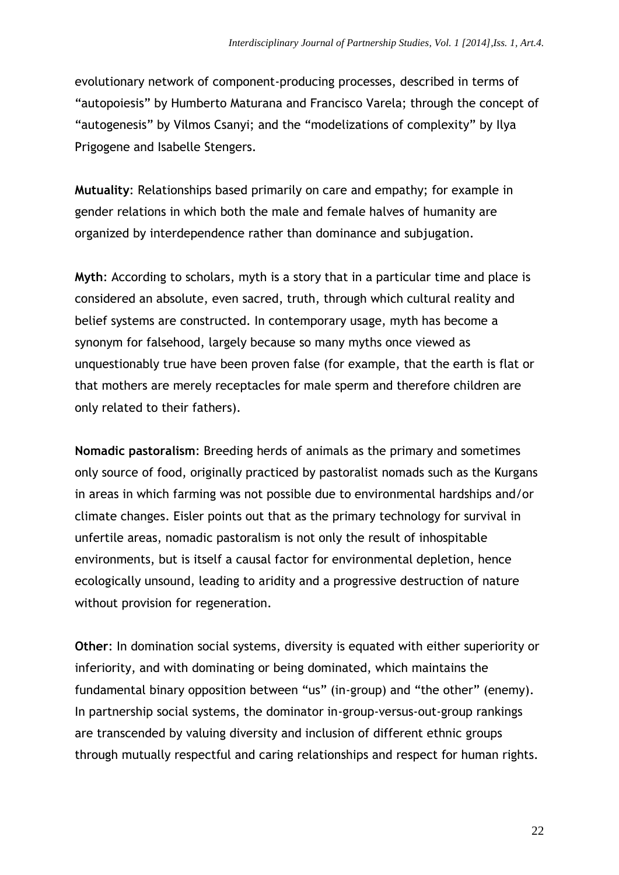evolutionary network of component-producing processes, described in terms of "autopoiesis" by Humberto Maturana and Francisco Varela; through the concept of "autogenesis" by Vilmos Csanyi; and the "modelizations of complexity" by Ilya Prigogene and Isabelle Stengers.

**Mutuality**: Relationships based primarily on care and empathy; for example in gender relations in which both the male and female halves of humanity are organized by interdependence rather than dominance and subjugation.

**Myth**: According to scholars, myth is a story that in a particular time and place is considered an absolute, even sacred, truth, through which cultural reality and belief systems are constructed. In contemporary usage, myth has become a synonym for falsehood, largely because so many myths once viewed as unquestionably true have been proven false (for example, that the earth is flat or that mothers are merely receptacles for male sperm and therefore children are only related to their fathers).

**Nomadic pastoralism**: Breeding herds of animals as the primary and sometimes only source of food, originally practiced by pastoralist nomads such as the Kurgans in areas in which farming was not possible due to environmental hardships and/or climate changes. Eisler points out that as the primary technology for survival in unfertile areas, nomadic pastoralism is not only the result of inhospitable environments, but is itself a causal factor for environmental depletion, hence ecologically unsound, leading to aridity and a progressive destruction of nature without provision for regeneration.

**Other**: In domination social systems, diversity is equated with either superiority or inferiority, and with dominating or being dominated, which maintains the fundamental binary opposition between "us" (in-group) and "the other" (enemy). In partnership social systems, the dominator in-group-versus-out-group rankings are transcended by valuing diversity and inclusion of different ethnic groups through mutually respectful and caring relationships and respect for human rights.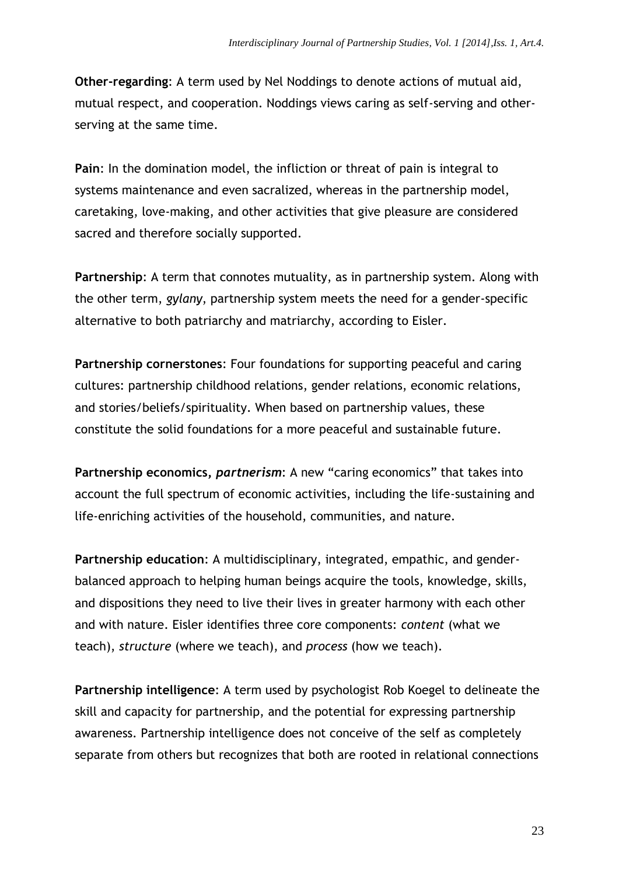**Other-regarding**: A term used by Nel Noddings to denote actions of mutual aid, mutual respect, and cooperation. Noddings views caring as self-serving and otherserving at the same time.

**Pain**: In the domination model, the infliction or threat of pain is integral to systems maintenance and even sacralized, whereas in the partnership model, caretaking, love-making, and other activities that give pleasure are considered sacred and therefore socially supported.

**Partnership**: A term that connotes mutuality, as in partnership system. Along with the other term, *gylany*, partnership system meets the need for a gender-specific alternative to both patriarchy and matriarchy, according to Eisler.

**Partnership cornerstones**: Four foundations for supporting peaceful and caring cultures: partnership childhood relations, gender relations, economic relations, and stories/beliefs/spirituality. When based on partnership values, these constitute the solid foundations for a more peaceful and sustainable future.

**Partnership economics,** *partnerism*: A new "caring economics" that takes into account the full spectrum of economic activities, including the life-sustaining and life-enriching activities of the household, communities, and nature.

**Partnership education**: A multidisciplinary, integrated, empathic, and genderbalanced approach to helping human beings acquire the tools, knowledge, skills, and dispositions they need to live their lives in greater harmony with each other and with nature. Eisler identifies three core components: *content* (what we teach), *structure* (where we teach), and *process* (how we teach).

**Partnership intelligence**: A term used by psychologist Rob Koegel to delineate the skill and capacity for partnership, and the potential for expressing partnership awareness. Partnership intelligence does not conceive of the self as completely separate from others but recognizes that both are rooted in relational connections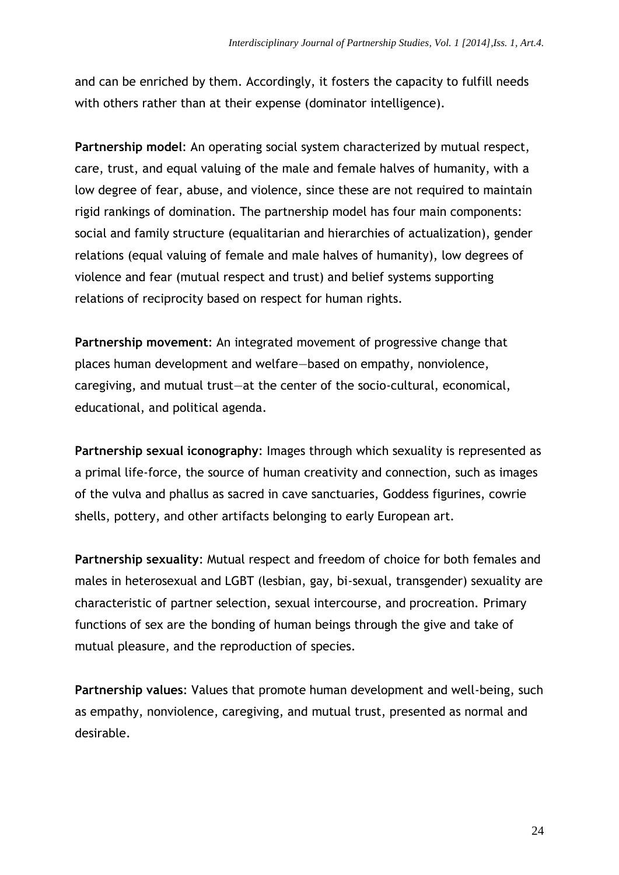and can be enriched by them. Accordingly, it fosters the capacity to fulfill needs with others rather than at their expense (dominator intelligence).

**Partnership model**: An operating social system characterized by mutual respect, care, trust, and equal valuing of the male and female halves of humanity, with a low degree of fear, abuse, and violence, since these are not required to maintain rigid rankings of domination. The partnership model has four main components: social and family structure (equalitarian and hierarchies of actualization), gender relations (equal valuing of female and male halves of humanity), low degrees of violence and fear (mutual respect and trust) and belief systems supporting relations of reciprocity based on respect for human rights.

**Partnership movement**: An integrated movement of progressive change that places human development and welfare—based on empathy, nonviolence, caregiving, and mutual trust—at the center of the socio-cultural, economical, educational, and political agenda.

**Partnership sexual iconography**: Images through which sexuality is represented as a primal life-force, the source of human creativity and connection, such as images of the vulva and phallus as sacred in cave sanctuaries, Goddess figurines, cowrie shells, pottery, and other artifacts belonging to early European art.

**Partnership sexuality**: Mutual respect and freedom of choice for both females and males in heterosexual and LGBT (lesbian, gay, bi-sexual, transgender) sexuality are characteristic of partner selection, sexual intercourse, and procreation. Primary functions of sex are the bonding of human beings through the give and take of mutual pleasure, and the reproduction of species.

**Partnership values**: Values that promote human development and well-being, such as empathy, nonviolence, caregiving, and mutual trust, presented as normal and desirable.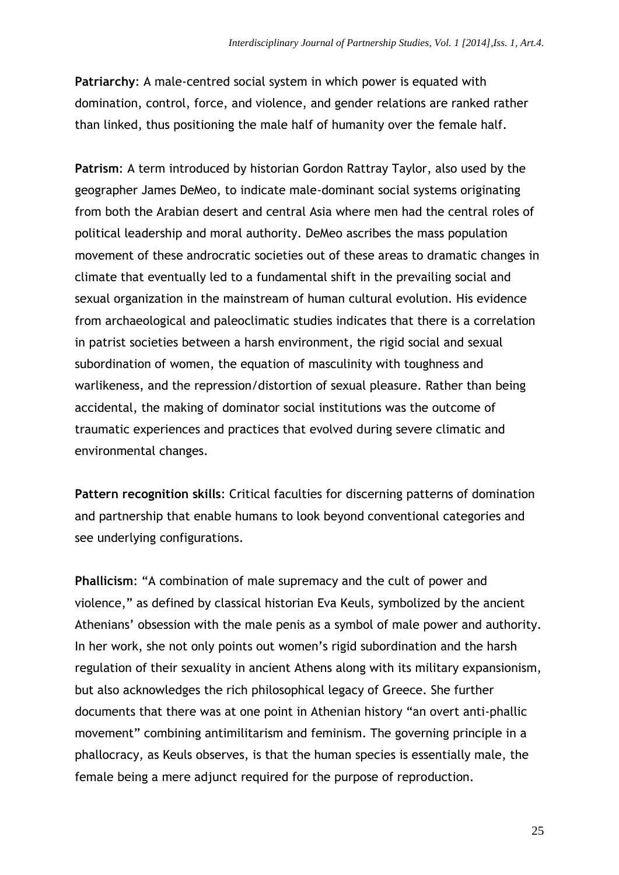**Patriarchy**: A male-centred social system in which power is equated with domination, control, force, and violence, and gender relations are ranked rather than linked, thus positioning the male half of humanity over the female half.

**Patrism**: A term introduced by historian Gordon Rattray Taylor, also used by the geographer James DeMeo, to indicate male-dominant social systems originating from both the Arabian desert and central Asia where men had the central roles of political leadership and moral authority. DeMeo ascribes the mass population movement of these androcratic societies out of these areas to dramatic changes in climate that eventually led to a fundamental shift in the prevailing social and sexual organization in the mainstream of human cultural evolution. His evidence from archaeological and paleoclimatic studies indicates that there is a correlation in patrist societies between a harsh environment, the rigid social and sexual subordination of women, the equation of masculinity with toughness and warlikeness, and the repression/distortion of sexual pleasure. Rather than being accidental, the making of dominator social institutions was the outcome of traumatic experiences and practices that evolved during severe climatic and environmental changes.

**Pattern recognition skills**: Critical faculties for discerning patterns of domination and partnership that enable humans to look beyond conventional categories and see underlying configurations.

**Phallicism**: "A combination of male supremacy and the cult of power and violence," as defined by classical historian Eva Keuls, symbolized by the ancient Athenians' obsession with the male penis as a symbol of male power and authority. In her work, she not only points out women's rigid subordination and the harsh regulation of their sexuality in ancient Athens along with its military expansionism, but also acknowledges the rich philosophical legacy of Greece. She further documents that there was at one point in Athenian history "an overt anti-phallic movement" combining antimilitarism and feminism. The governing principle in a phallocracy, as Keuls observes, is that the human species is essentially male, the female being a mere adjunct required for the purpose of reproduction.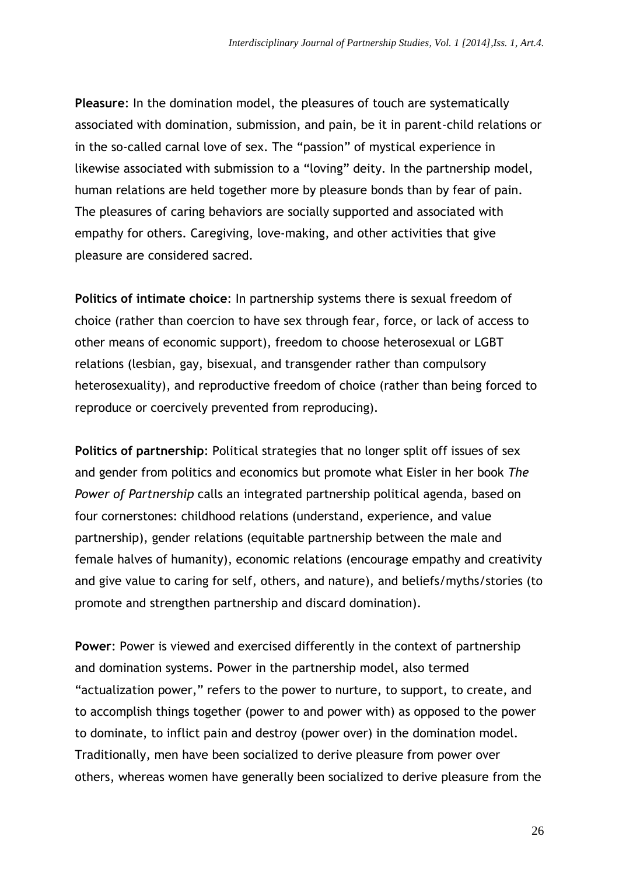**Pleasure**: In the domination model, the pleasures of touch are systematically associated with domination, submission, and pain, be it in parent-child relations or in the so-called carnal love of sex. The "passion" of mystical experience in likewise associated with submission to a "loving" deity. In the partnership model, human relations are held together more by pleasure bonds than by fear of pain. The pleasures of caring behaviors are socially supported and associated with empathy for others. Caregiving, love-making, and other activities that give pleasure are considered sacred.

**Politics of intimate choice**: In partnership systems there is sexual freedom of choice (rather than coercion to have sex through fear, force, or lack of access to other means of economic support), freedom to choose heterosexual or LGBT relations (lesbian, gay, bisexual, and transgender rather than compulsory heterosexuality), and reproductive freedom of choice (rather than being forced to reproduce or coercively prevented from reproducing).

**Politics of partnership**: Political strategies that no longer split off issues of sex and gender from politics and economics but promote what Eisler in her book *The Power of Partnership* calls an integrated partnership political agenda, based on four cornerstones: childhood relations (understand, experience, and value partnership), gender relations (equitable partnership between the male and female halves of humanity), economic relations (encourage empathy and creativity and give value to caring for self, others, and nature), and beliefs/myths/stories (to promote and strengthen partnership and discard domination).

**Power**: Power is viewed and exercised differently in the context of partnership and domination systems. Power in the partnership model, also termed "actualization power," refers to the power to nurture, to support, to create, and to accomplish things together (power to and power with) as opposed to the power to dominate, to inflict pain and destroy (power over) in the domination model. Traditionally, men have been socialized to derive pleasure from power over others, whereas women have generally been socialized to derive pleasure from the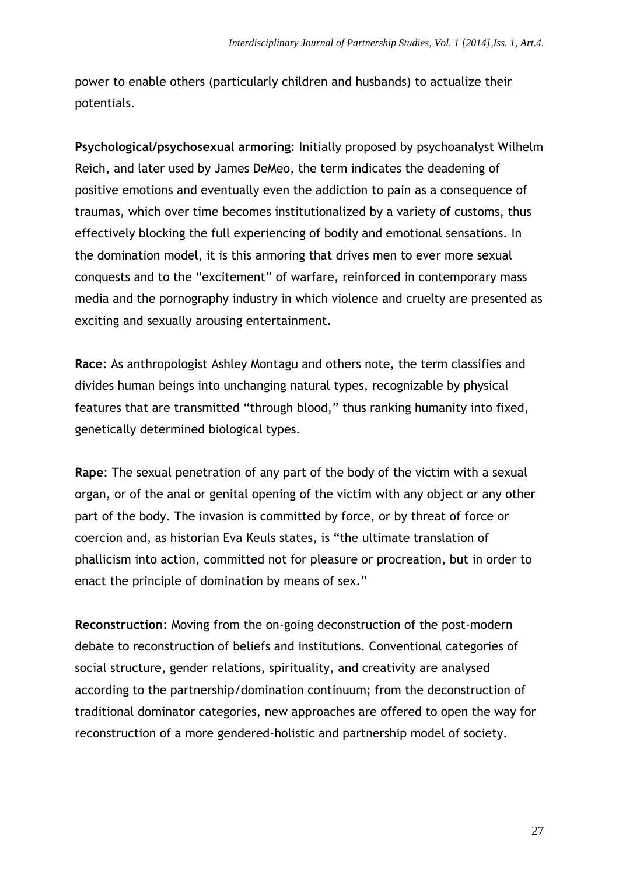power to enable others (particularly children and husbands) to actualize their potentials.

**Psychological/psychosexual armoring**: Initially proposed by psychoanalyst Wilhelm Reich, and later used by James DeMeo, the term indicates the deadening of positive emotions and eventually even the addiction to pain as a consequence of traumas, which over time becomes institutionalized by a variety of customs, thus effectively blocking the full experiencing of bodily and emotional sensations. In the domination model, it is this armoring that drives men to ever more sexual conquests and to the "excitement" of warfare, reinforced in contemporary mass media and the pornography industry in which violence and cruelty are presented as exciting and sexually arousing entertainment.

**Race**: As anthropologist Ashley Montagu and others note, the term classifies and divides human beings into unchanging natural types, recognizable by physical features that are transmitted "through blood," thus ranking humanity into fixed, genetically determined biological types.

**Rape**: The sexual penetration of any part of the body of the victim with a sexual organ, or of the anal or genital opening of the victim with any object or any other part of the body. The invasion is committed by force, or by threat of force or coercion and, as historian Eva Keuls states, is "the ultimate translation of phallicism into action, committed not for pleasure or procreation, but in order to enact the principle of domination by means of sex."

**Reconstruction**: Moving from the on-going deconstruction of the post-modern debate to reconstruction of beliefs and institutions. Conventional categories of social structure, gender relations, spirituality, and creativity are analysed according to the partnership/domination continuum; from the deconstruction of traditional dominator categories, new approaches are offered to open the way for reconstruction of a more gendered-holistic and partnership model of society.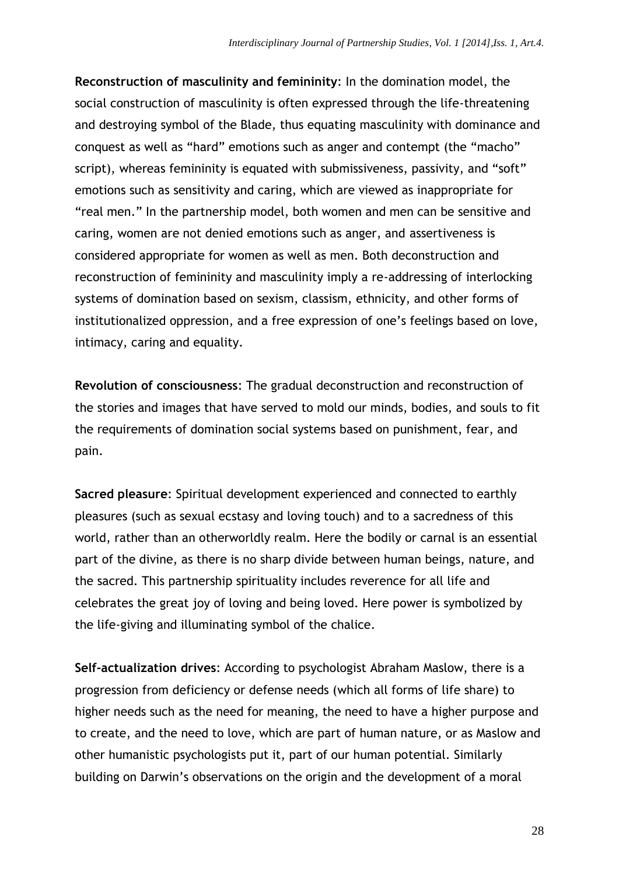**Reconstruction of masculinity and femininity**: In the domination model, the social construction of masculinity is often expressed through the life-threatening and destroying symbol of the Blade, thus equating masculinity with dominance and conquest as well as "hard" emotions such as anger and contempt (the "macho" script), whereas femininity is equated with submissiveness, passivity, and "soft" emotions such as sensitivity and caring, which are viewed as inappropriate for "real men." In the partnership model, both women and men can be sensitive and caring, women are not denied emotions such as anger, and assertiveness is considered appropriate for women as well as men. Both deconstruction and reconstruction of femininity and masculinity imply a re-addressing of interlocking systems of domination based on sexism, classism, ethnicity, and other forms of institutionalized oppression, and a free expression of one's feelings based on love, intimacy, caring and equality.

**Revolution of consciousness**: The gradual deconstruction and reconstruction of the stories and images that have served to mold our minds, bodies, and souls to fit the requirements of domination social systems based on punishment, fear, and pain.

**Sacred pleasure**: Spiritual development experienced and connected to earthly pleasures (such as sexual ecstasy and loving touch) and to a sacredness of this world, rather than an otherworldly realm. Here the bodily or carnal is an essential part of the divine, as there is no sharp divide between human beings, nature, and the sacred. This partnership spirituality includes reverence for all life and celebrates the great joy of loving and being loved. Here power is symbolized by the life-giving and illuminating symbol of the chalice.

**Self-actualization drives**: According to psychologist Abraham Maslow, there is a progression from deficiency or defense needs (which all forms of life share) to higher needs such as the need for meaning, the need to have a higher purpose and to create, and the need to love, which are part of human nature, or as Maslow and other humanistic psychologists put it, part of our human potential. Similarly building on Darwin's observations on the origin and the development of a moral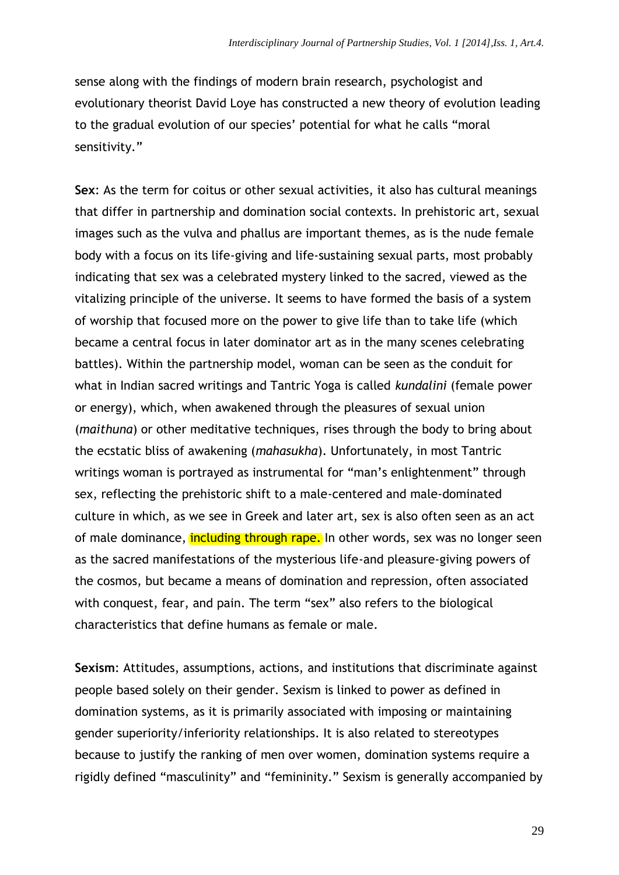sense along with the findings of modern brain research, psychologist and evolutionary theorist David Loye has constructed a new theory of evolution leading to the gradual evolution of our species' potential for what he calls "moral sensitivity."

**Sex**: As the term for coitus or other sexual activities, it also has cultural meanings that differ in partnership and domination social contexts. In prehistoric art, sexual images such as the vulva and phallus are important themes, as is the nude female body with a focus on its life-giving and life-sustaining sexual parts, most probably indicating that sex was a celebrated mystery linked to the sacred, viewed as the vitalizing principle of the universe. It seems to have formed the basis of a system of worship that focused more on the power to give life than to take life (which became a central focus in later dominator art as in the many scenes celebrating battles). Within the partnership model, woman can be seen as the conduit for what in Indian sacred writings and Tantric Yoga is called *kundalini* (female power or energy), which, when awakened through the pleasures of sexual union (*maithuna*) or other meditative techniques, rises through the body to bring about the ecstatic bliss of awakening (*mahasukha*). Unfortunately, in most Tantric writings woman is portrayed as instrumental for "man's enlightenment" through sex, reflecting the prehistoric shift to a male-centered and male-dominated culture in which, as we see in Greek and later art, sex is also often seen as an act of male dominance, *including through rape*. In other words, sex was no longer seen as the sacred manifestations of the mysterious life-and pleasure-giving powers of the cosmos, but became a means of domination and repression, often associated with conquest, fear, and pain. The term "sex" also refers to the biological characteristics that define humans as female or male.

**Sexism**: Attitudes, assumptions, actions, and institutions that discriminate against people based solely on their gender. Sexism is linked to power as defined in domination systems, as it is primarily associated with imposing or maintaining gender superiority/inferiority relationships. It is also related to stereotypes because to justify the ranking of men over women, domination systems require a rigidly defined "masculinity" and "femininity." Sexism is generally accompanied by

29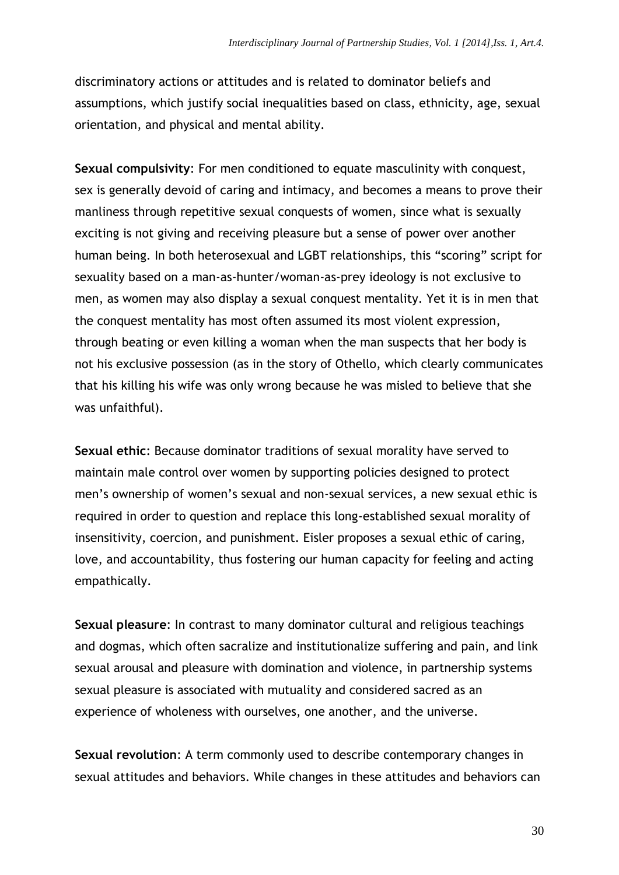discriminatory actions or attitudes and is related to dominator beliefs and assumptions, which justify social inequalities based on class, ethnicity, age, sexual orientation, and physical and mental ability.

**Sexual compulsivity**: For men conditioned to equate masculinity with conquest, sex is generally devoid of caring and intimacy, and becomes a means to prove their manliness through repetitive sexual conquests of women, since what is sexually exciting is not giving and receiving pleasure but a sense of power over another human being. In both heterosexual and LGBT relationships, this "scoring" script for sexuality based on a man-as-hunter/woman-as-prey ideology is not exclusive to men, as women may also display a sexual conquest mentality. Yet it is in men that the conquest mentality has most often assumed its most violent expression, through beating or even killing a woman when the man suspects that her body is not his exclusive possession (as in the story of Othello, which clearly communicates that his killing his wife was only wrong because he was misled to believe that she was unfaithful).

**Sexual ethic**: Because dominator traditions of sexual morality have served to maintain male control over women by supporting policies designed to protect men's ownership of women's sexual and non-sexual services, a new sexual ethic is required in order to question and replace this long-established sexual morality of insensitivity, coercion, and punishment. Eisler proposes a sexual ethic of caring, love, and accountability, thus fostering our human capacity for feeling and acting empathically.

**Sexual pleasure**: In contrast to many dominator cultural and religious teachings and dogmas, which often sacralize and institutionalize suffering and pain, and link sexual arousal and pleasure with domination and violence, in partnership systems sexual pleasure is associated with mutuality and considered sacred as an experience of wholeness with ourselves, one another, and the universe.

**Sexual revolution**: A term commonly used to describe contemporary changes in sexual attitudes and behaviors. While changes in these attitudes and behaviors can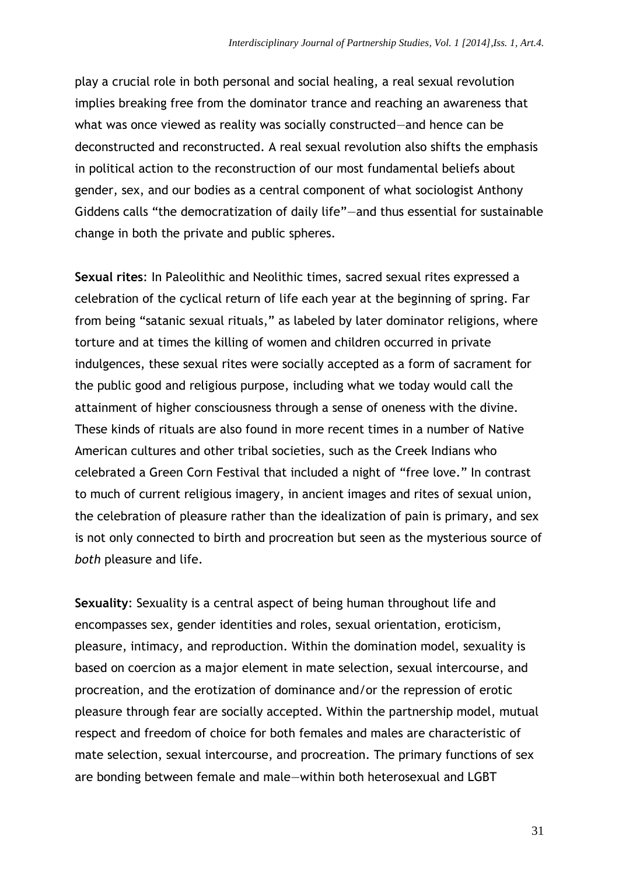play a crucial role in both personal and social healing, a real sexual revolution implies breaking free from the dominator trance and reaching an awareness that what was once viewed as reality was socially constructed—and hence can be deconstructed and reconstructed. A real sexual revolution also shifts the emphasis in political action to the reconstruction of our most fundamental beliefs about gender, sex, and our bodies as a central component of what sociologist Anthony Giddens calls "the democratization of daily life"—and thus essential for sustainable change in both the private and public spheres.

**Sexual rites**: In Paleolithic and Neolithic times, sacred sexual rites expressed a celebration of the cyclical return of life each year at the beginning of spring. Far from being "satanic sexual rituals," as labeled by later dominator religions, where torture and at times the killing of women and children occurred in private indulgences, these sexual rites were socially accepted as a form of sacrament for the public good and religious purpose, including what we today would call the attainment of higher consciousness through a sense of oneness with the divine. These kinds of rituals are also found in more recent times in a number of Native American cultures and other tribal societies, such as the Creek Indians who celebrated a Green Corn Festival that included a night of "free love." In contrast to much of current religious imagery, in ancient images and rites of sexual union, the celebration of pleasure rather than the idealization of pain is primary, and sex is not only connected to birth and procreation but seen as the mysterious source of *both* pleasure and life.

**Sexuality**: Sexuality is a central aspect of being human throughout life and encompasses sex, gender identities and roles, sexual orientation, eroticism, pleasure, intimacy, and reproduction. Within the domination model, sexuality is based on coercion as a major element in mate selection, sexual intercourse, and procreation, and the erotization of dominance and/or the repression of erotic pleasure through fear are socially accepted. Within the partnership model, mutual respect and freedom of choice for both females and males are characteristic of mate selection, sexual intercourse, and procreation. The primary functions of sex are bonding between female and male—within both heterosexual and LGBT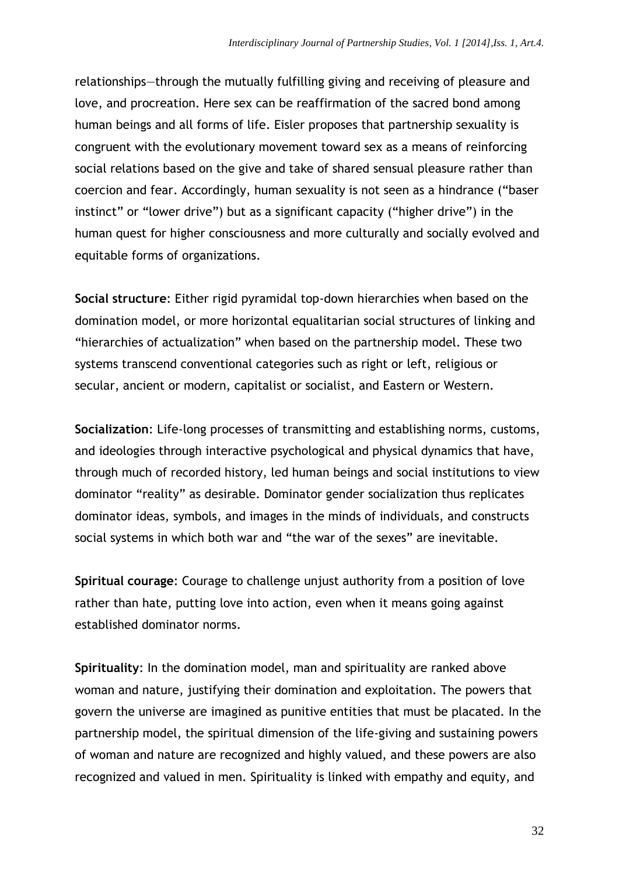relationships—through the mutually fulfilling giving and receiving of pleasure and love, and procreation. Here sex can be reaffirmation of the sacred bond among human beings and all forms of life. Eisler proposes that partnership sexuality is congruent with the evolutionary movement toward sex as a means of reinforcing social relations based on the give and take of shared sensual pleasure rather than coercion and fear. Accordingly, human sexuality is not seen as a hindrance ("baser instinct" or "lower drive") but as a significant capacity ("higher drive") in the human quest for higher consciousness and more culturally and socially evolved and equitable forms of organizations.

**Social structure**: Either rigid pyramidal top-down hierarchies when based on the domination model, or more horizontal equalitarian social structures of linking and "hierarchies of actualization" when based on the partnership model. These two systems transcend conventional categories such as right or left, religious or secular, ancient or modern, capitalist or socialist, and Eastern or Western.

**Socialization**: Life-long processes of transmitting and establishing norms, customs, and ideologies through interactive psychological and physical dynamics that have, through much of recorded history, led human beings and social institutions to view dominator "reality" as desirable. Dominator gender socialization thus replicates dominator ideas, symbols, and images in the minds of individuals, and constructs social systems in which both war and "the war of the sexes" are inevitable.

**Spiritual courage**: Courage to challenge unjust authority from a position of love rather than hate, putting love into action, even when it means going against established dominator norms.

**Spirituality**: In the domination model, man and spirituality are ranked above woman and nature, justifying their domination and exploitation. The powers that govern the universe are imagined as punitive entities that must be placated. In the partnership model, the spiritual dimension of the life-giving and sustaining powers of woman and nature are recognized and highly valued, and these powers are also recognized and valued in men. Spirituality is linked with empathy and equity, and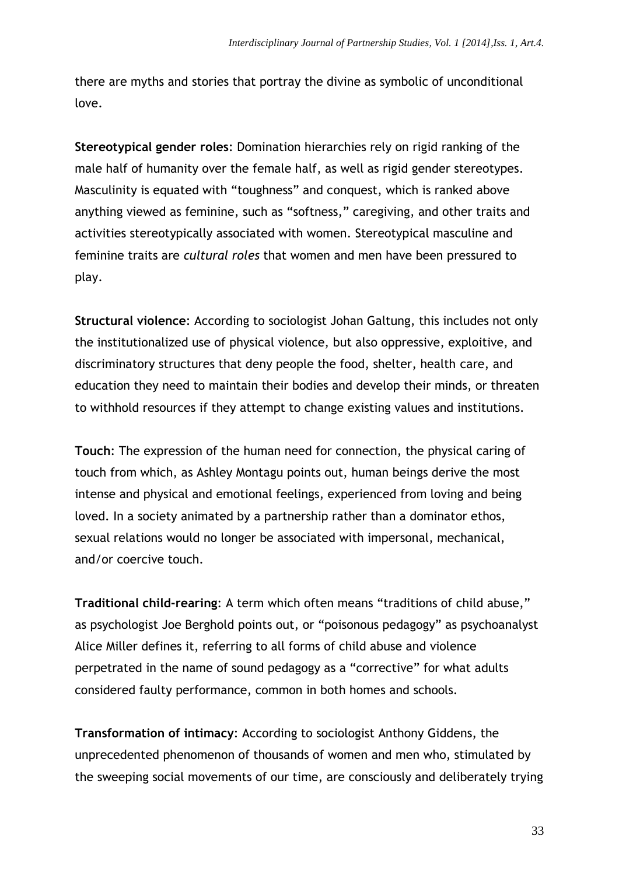there are myths and stories that portray the divine as symbolic of unconditional love.

**Stereotypical gender roles**: Domination hierarchies rely on rigid ranking of the male half of humanity over the female half, as well as rigid gender stereotypes. Masculinity is equated with "toughness" and conquest, which is ranked above anything viewed as feminine, such as "softness," caregiving, and other traits and activities stereotypically associated with women. Stereotypical masculine and feminine traits are *cultural roles* that women and men have been pressured to play.

**Structural violence**: According to sociologist Johan Galtung, this includes not only the institutionalized use of physical violence, but also oppressive, exploitive, and discriminatory structures that deny people the food, shelter, health care, and education they need to maintain their bodies and develop their minds, or threaten to withhold resources if they attempt to change existing values and institutions.

**Touch**: The expression of the human need for connection, the physical caring of touch from which, as Ashley Montagu points out, human beings derive the most intense and physical and emotional feelings, experienced from loving and being loved. In a society animated by a partnership rather than a dominator ethos, sexual relations would no longer be associated with impersonal, mechanical, and/or coercive touch.

**Traditional child-rearing**: A term which often means "traditions of child abuse," as psychologist Joe Berghold points out, or "poisonous pedagogy" as psychoanalyst Alice Miller defines it, referring to all forms of child abuse and violence perpetrated in the name of sound pedagogy as a "corrective" for what adults considered faulty performance, common in both homes and schools.

**Transformation of intimacy**: According to sociologist Anthony Giddens, the unprecedented phenomenon of thousands of women and men who, stimulated by the sweeping social movements of our time, are consciously and deliberately trying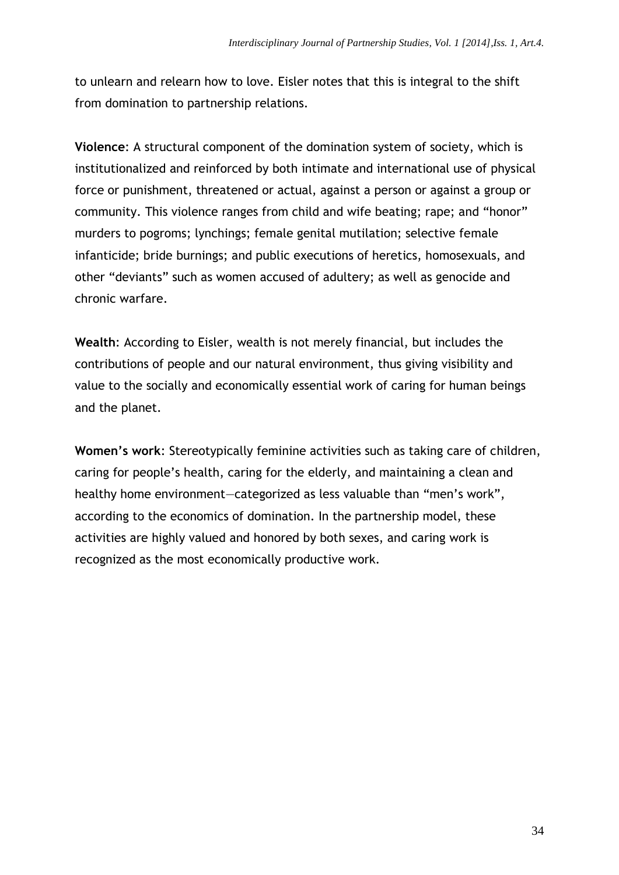to unlearn and relearn how to love. Eisler notes that this is integral to the shift from domination to partnership relations.

**Violence**: A structural component of the domination system of society, which is institutionalized and reinforced by both intimate and international use of physical force or punishment, threatened or actual, against a person or against a group or community. This violence ranges from child and wife beating; rape; and "honor" murders to pogroms; lynchings; female genital mutilation; selective female infanticide; bride burnings; and public executions of heretics, homosexuals, and other "deviants" such as women accused of adultery; as well as genocide and chronic warfare.

**Wealth**: According to Eisler, wealth is not merely financial, but includes the contributions of people and our natural environment, thus giving visibility and value to the socially and economically essential work of caring for human beings and the planet.

**Women's work**: Stereotypically feminine activities such as taking care of children, caring for people's health, caring for the elderly, and maintaining a clean and healthy home environment—categorized as less valuable than "men's work", according to the economics of domination. In the partnership model, these activities are highly valued and honored by both sexes, and caring work is recognized as the most economically productive work.